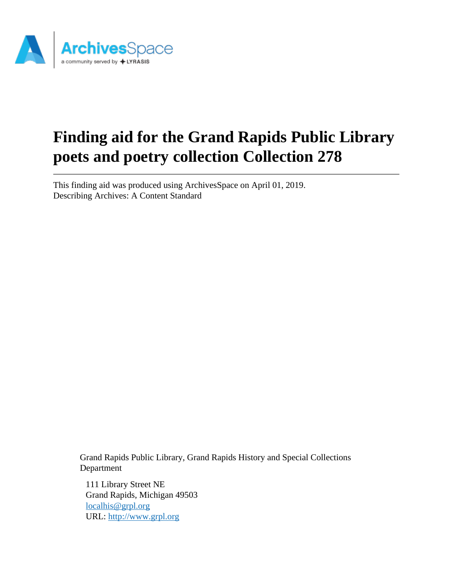

# **Finding aid for the Grand Rapids Public Library poets and poetry collection Collection 278**

This finding aid was produced using ArchivesSpace on April 01, 2019. Describing Archives: A Content Standard

> Grand Rapids Public Library, Grand Rapids History and Special Collections Department

111 Library Street NE Grand Rapids, Michigan 49503 [localhis@grpl.org](mailto:localhis@grpl.org) URL:<http://www.grpl.org>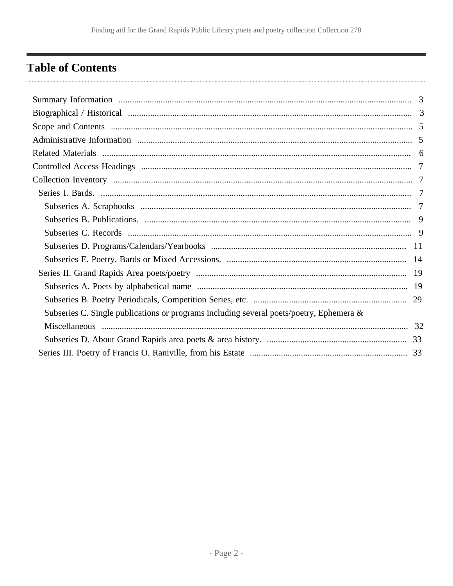# <span id="page-1-0"></span>**Table of Contents**

| Subseries C. Single publications or programs including several poets/poetry, Ephemera $\&$ |  |
|--------------------------------------------------------------------------------------------|--|
|                                                                                            |  |
|                                                                                            |  |
|                                                                                            |  |
|                                                                                            |  |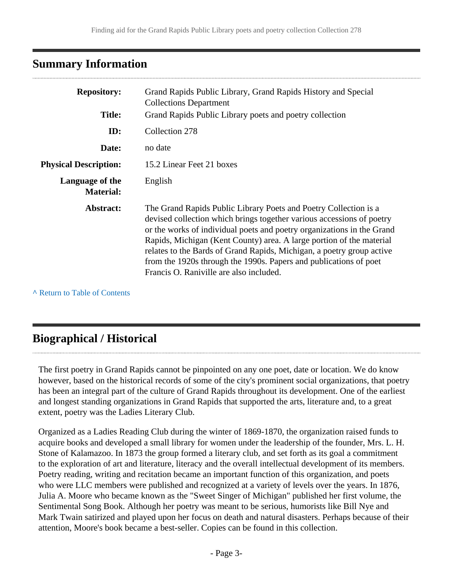### <span id="page-2-0"></span>**Summary Information**

| Grand Rapids Public Library, Grand Rapids History and Special<br><b>Collections Department</b><br>Grand Rapids Public Library poets and poetry collection                                                                                                                                                                                                                                                                                                                            |
|--------------------------------------------------------------------------------------------------------------------------------------------------------------------------------------------------------------------------------------------------------------------------------------------------------------------------------------------------------------------------------------------------------------------------------------------------------------------------------------|
| Collection 278                                                                                                                                                                                                                                                                                                                                                                                                                                                                       |
| no date                                                                                                                                                                                                                                                                                                                                                                                                                                                                              |
| 15.2 Linear Feet 21 boxes                                                                                                                                                                                                                                                                                                                                                                                                                                                            |
| English                                                                                                                                                                                                                                                                                                                                                                                                                                                                              |
| The Grand Rapids Public Library Poets and Poetry Collection is a<br>devised collection which brings together various accessions of poetry<br>or the works of individual poets and poetry organizations in the Grand<br>Rapids, Michigan (Kent County) area. A large portion of the material<br>relates to the Bards of Grand Rapids, Michigan, a poetry group active<br>from the 1920s through the 1990s. Papers and publications of poet<br>Francis O. Raniville are also included. |
|                                                                                                                                                                                                                                                                                                                                                                                                                                                                                      |

**^** [Return to Table of Contents](#page-1-0)

### <span id="page-2-1"></span>**Biographical / Historical**

The first poetry in Grand Rapids cannot be pinpointed on any one poet, date or location. We do know however, based on the historical records of some of the city's prominent social organizations, that poetry has been an integral part of the culture of Grand Rapids throughout its development. One of the earliest and longest standing organizations in Grand Rapids that supported the arts, literature and, to a great extent, poetry was the Ladies Literary Club.

Organized as a Ladies Reading Club during the winter of 1869-1870, the organization raised funds to acquire books and developed a small library for women under the leadership of the founder, Mrs. L. H. Stone of Kalamazoo. In 1873 the group formed a literary club, and set forth as its goal a commitment to the exploration of art and literature, literacy and the overall intellectual development of its members. Poetry reading, writing and recitation became an important function of this organization, and poets who were LLC members were published and recognized at a variety of levels over the years. In 1876, Julia A. Moore who became known as the "Sweet Singer of Michigan" published her first volume, the Sentimental Song Book. Although her poetry was meant to be serious, humorists like Bill Nye and Mark Twain satirized and played upon her focus on death and natural disasters. Perhaps because of their attention, Moore's book became a best-seller. Copies can be found in this collection.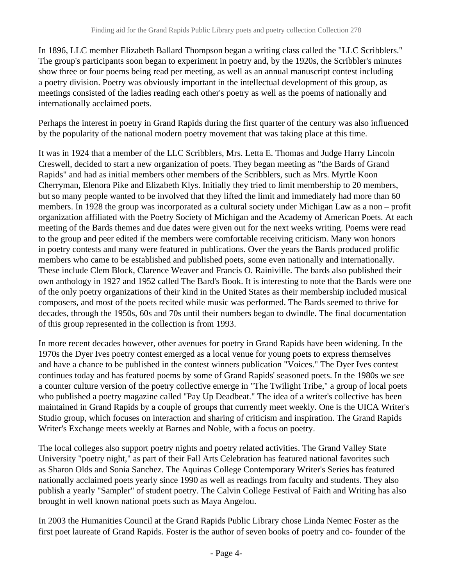In 1896, LLC member Elizabeth Ballard Thompson began a writing class called the "LLC Scribblers." The group's participants soon began to experiment in poetry and, by the 1920s, the Scribbler's minutes show three or four poems being read per meeting, as well as an annual manuscript contest including a poetry division. Poetry was obviously important in the intellectual development of this group, as meetings consisted of the ladies reading each other's poetry as well as the poems of nationally and internationally acclaimed poets.

Perhaps the interest in poetry in Grand Rapids during the first quarter of the century was also influenced by the popularity of the national modern poetry movement that was taking place at this time.

It was in 1924 that a member of the LLC Scribblers, Mrs. Letta E. Thomas and Judge Harry Lincoln Creswell, decided to start a new organization of poets. They began meeting as "the Bards of Grand Rapids" and had as initial members other members of the Scribblers, such as Mrs. Myrtle Koon Cherryman, Elenora Pike and Elizabeth Klys. Initially they tried to limit membership to 20 members, but so many people wanted to be involved that they lifted the limit and immediately had more than 60 members. In 1928 the group was incorporated as a cultural society under Michigan Law as a non – profit organization affiliated with the Poetry Society of Michigan and the Academy of American Poets. At each meeting of the Bards themes and due dates were given out for the next weeks writing. Poems were read to the group and peer edited if the members were comfortable receiving criticism. Many won honors in poetry contests and many were featured in publications. Over the years the Bards produced prolific members who came to be established and published poets, some even nationally and internationally. These include Clem Block, Clarence Weaver and Francis O. Rainiville. The bards also published their own anthology in 1927 and 1952 called The Bard's Book. It is interesting to note that the Bards were one of the only poetry organizations of their kind in the United States as their membership included musical composers, and most of the poets recited while music was performed. The Bards seemed to thrive for decades, through the 1950s, 60s and 70s until their numbers began to dwindle. The final documentation of this group represented in the collection is from 1993.

In more recent decades however, other avenues for poetry in Grand Rapids have been widening. In the 1970s the Dyer Ives poetry contest emerged as a local venue for young poets to express themselves and have a chance to be published in the contest winners publication "Voices." The Dyer Ives contest continues today and has featured poems by some of Grand Rapids' seasoned poets. In the 1980s we see a counter culture version of the poetry collective emerge in "The Twilight Tribe," a group of local poets who published a poetry magazine called "Pay Up Deadbeat." The idea of a writer's collective has been maintained in Grand Rapids by a couple of groups that currently meet weekly. One is the UICA Writer's Studio group, which focuses on interaction and sharing of criticism and inspiration. The Grand Rapids Writer's Exchange meets weekly at Barnes and Noble, with a focus on poetry.

The local colleges also support poetry nights and poetry related activities. The Grand Valley State University "poetry night," as part of their Fall Arts Celebration has featured national favorites such as Sharon Olds and Sonia Sanchez. The Aquinas College Contemporary Writer's Series has featured nationally acclaimed poets yearly since 1990 as well as readings from faculty and students. They also publish a yearly "Sampler" of student poetry. The Calvin College Festival of Faith and Writing has also brought in well known national poets such as Maya Angelou.

In 2003 the Humanities Council at the Grand Rapids Public Library chose Linda Nemec Foster as the first poet laureate of Grand Rapids. Foster is the author of seven books of poetry and co- founder of the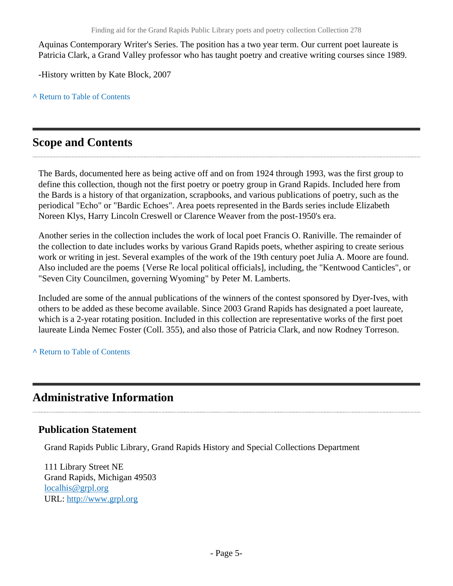Aquinas Contemporary Writer's Series. The position has a two year term. Our current poet laureate is Patricia Clark, a Grand Valley professor who has taught poetry and creative writing courses since 1989.

-History written by Kate Block, 2007

**^** [Return to Table of Contents](#page-1-0)

### <span id="page-4-0"></span>**Scope and Contents**

The Bards, documented here as being active off and on from 1924 through 1993, was the first group to define this collection, though not the first poetry or poetry group in Grand Rapids. Included here from the Bards is a history of that organization, scrapbooks, and various publications of poetry, such as the periodical "Echo" or "Bardic Echoes". Area poets represented in the Bards series include Elizabeth Noreen Klys, Harry Lincoln Creswell or Clarence Weaver from the post-1950's era.

Another series in the collection includes the work of local poet Francis O. Raniville. The remainder of the collection to date includes works by various Grand Rapids poets, whether aspiring to create serious work or writing in jest. Several examples of the work of the 19th century poet Julia A. Moore are found. Also included are the poems {Verse Re local political officials], including, the "Kentwood Canticles", or "Seven City Councilmen, governing Wyoming" by Peter M. Lamberts.

Included are some of the annual publications of the winners of the contest sponsored by Dyer-Ives, with others to be added as these become available. Since 2003 Grand Rapids has designated a poet laureate, which is a 2-year rotating position. Included in this collection are representative works of the first poet laureate Linda Nemec Foster (Coll. 355), and also those of Patricia Clark, and now Rodney Torreson.

**^** [Return to Table of Contents](#page-1-0)

### <span id="page-4-1"></span>**Administrative Information**

#### **Publication Statement**

Grand Rapids Public Library, Grand Rapids History and Special Collections Department

111 Library Street NE Grand Rapids, Michigan 49503 [localhis@grpl.org](mailto:localhis@grpl.org) URL:<http://www.grpl.org>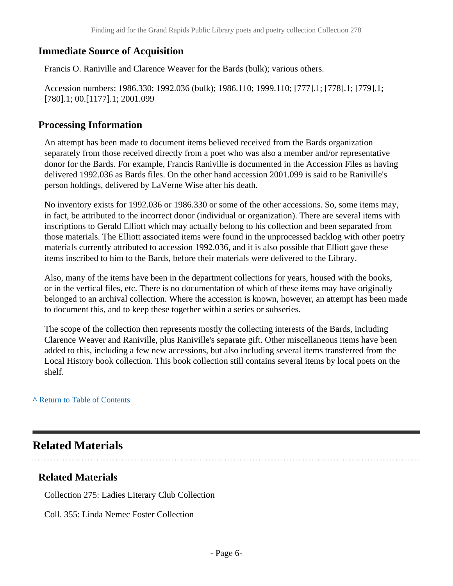#### **Immediate Source of Acquisition**

Francis O. Raniville and Clarence Weaver for the Bards (bulk); various others.

Accession numbers: 1986.330; 1992.036 (bulk); 1986.110; 1999.110; [777].1; [778].1; [779].1; [780].1; 00.[1177].1; 2001.099

#### **Processing Information**

An attempt has been made to document items believed received from the Bards organization separately from those received directly from a poet who was also a member and/or representative donor for the Bards. For example, Francis Raniville is documented in the Accession Files as having delivered 1992.036 as Bards files. On the other hand accession 2001.099 is said to be Raniville's person holdings, delivered by LaVerne Wise after his death.

No inventory exists for 1992.036 or 1986.330 or some of the other accessions. So, some items may, in fact, be attributed to the incorrect donor (individual or organization). There are several items with inscriptions to Gerald Elliott which may actually belong to his collection and been separated from those materials. The Elliott associated items were found in the unprocessed backlog with other poetry materials currently attributed to accession 1992.036, and it is also possible that Elliott gave these items inscribed to him to the Bards, before their materials were delivered to the Library.

Also, many of the items have been in the department collections for years, housed with the books, or in the vertical files, etc. There is no documentation of which of these items may have originally belonged to an archival collection. Where the accession is known, however, an attempt has been made to document this, and to keep these together within a series or subseries.

The scope of the collection then represents mostly the collecting interests of the Bards, including Clarence Weaver and Raniville, plus Raniville's separate gift. Other miscellaneous items have been added to this, including a few new accessions, but also including several items transferred from the Local History book collection. This book collection still contains several items by local poets on the shelf.

**^** [Return to Table of Contents](#page-1-0)

### <span id="page-5-0"></span>**Related Materials**

#### **Related Materials**

Collection 275: Ladies Literary Club Collection

Coll. 355: Linda Nemec Foster Collection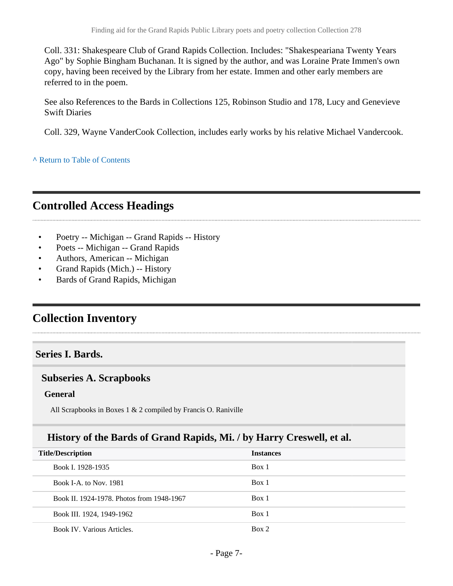Coll. 331: Shakespeare Club of Grand Rapids Collection. Includes: "Shakespeariana Twenty Years Ago" by Sophie Bingham Buchanan. It is signed by the author, and was Loraine Prate Immen's own copy, having been received by the Library from her estate. Immen and other early members are referred to in the poem.

See also References to the Bards in Collections 125, Robinson Studio and 178, Lucy and Genevieve Swift Diaries

Coll. 329, Wayne VanderCook Collection, includes early works by his relative Michael Vandercook.

**^** [Return to Table of Contents](#page-1-0)

### <span id="page-6-0"></span>**Controlled Access Headings**

- Poetry -- Michigan -- Grand Rapids -- History
- Poets -- Michigan -- Grand Rapids
- Authors, American -- Michigan
- Grand Rapids (Mich.) -- History
- Bards of Grand Rapids, Michigan

### <span id="page-6-1"></span>**Collection Inventory**

#### <span id="page-6-2"></span>**Series I. Bards.**

#### <span id="page-6-3"></span>**Subseries A. Scrapbooks**

#### **General**

All Scrapbooks in Boxes 1 & 2 compiled by Francis O. Raniville

#### **History of the Bards of Grand Rapids, Mi. / by Harry Creswell, et al.**

| <b>Title/Description</b>                  | <b>Instances</b> |
|-------------------------------------------|------------------|
| Book L 1928-1935                          | Box 1            |
| <b>Book I-A. to Nov. 1981</b>             | Box 1            |
| Book II, 1924-1978. Photos from 1948-1967 | Box 1            |
| Book III. 1924, 1949-1962                 | Box 1            |
| Book IV. Various Articles.                | Box 2            |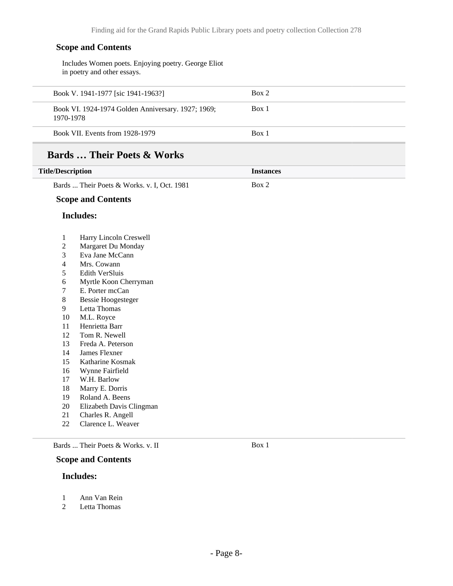#### **Scope and Contents**

Includes Women poets. Enjoying poetry. George Eliot in poetry and other essays.

| Book V. 1941-1977 [sic 1941-1963?]                              | Box 2 |
|-----------------------------------------------------------------|-------|
| Book VI. 1924-1974 Golden Anniversary. 1927; 1969;<br>1970-1978 | Box 1 |
| Book VII. Events from 1928-1979                                 | Box 1 |

### **Bards … Their Poets & Works**

| <b>Title/Description</b> |                                             | <b>Instances</b> |  |
|--------------------------|---------------------------------------------|------------------|--|
|                          | Bards  Their Poets & Works. v. I, Oct. 1981 | Box 2            |  |
|                          | <b>Scope and Contents</b>                   |                  |  |
|                          | <b>Includes:</b>                            |                  |  |
| 1                        | Harry Lincoln Creswell                      |                  |  |
| $\overline{c}$           | Margaret Du Monday                          |                  |  |
| 3                        | Eva Jane McCann                             |                  |  |
| 4                        | Mrs. Cowann                                 |                  |  |
| 5                        | Edith VerSluis                              |                  |  |
| 6                        | Myrtle Koon Cherryman                       |                  |  |
| 7                        | E. Porter mcCan                             |                  |  |
| 8                        | <b>Bessie Hoogesteger</b>                   |                  |  |
| 9                        | Letta Thomas                                |                  |  |
| 10                       | M.L. Royce                                  |                  |  |
| 11                       | Henrietta Barr                              |                  |  |
| 12                       | Tom R. Newell                               |                  |  |
| 13                       | Freda A. Peterson                           |                  |  |
| 14                       | James Flexner                               |                  |  |
| 15                       | Katharine Kosmak                            |                  |  |
| 16                       | Wynne Fairfield                             |                  |  |
| 17                       | W.H. Barlow                                 |                  |  |
| 18                       | Marry E. Dorris                             |                  |  |
| 19                       | Roland A. Beens                             |                  |  |
| 20                       | Elizabeth Davis Clingman                    |                  |  |
| 21                       | Charles R. Angell                           |                  |  |
| 22                       | Clarence L. Weaver                          |                  |  |
|                          | Bards  Their Poets & Works. v. II           | Box 1            |  |

#### **Scope and Contents**

#### **Includes:**

- 1 Ann Van Rein
- 2 Letta Thomas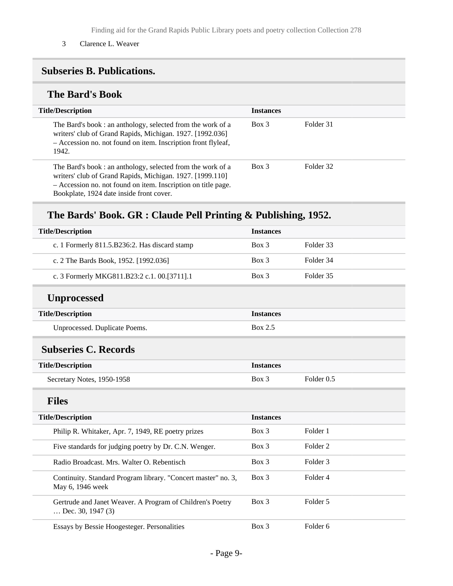Finding aid for the Grand Rapids Public Library poets and poetry collection Collection 278

3 Clarence L. Weaver

#### <span id="page-8-0"></span>**Subseries B. Publications.**

#### **The Bard's Book**

| <b>Title/Description</b>                                                                                                                                                                                                             | <b>Instances</b> |           |
|--------------------------------------------------------------------------------------------------------------------------------------------------------------------------------------------------------------------------------------|------------------|-----------|
| The Bard's book: an anthology, selected from the work of a<br>writers' club of Grand Rapids, Michigan. 1927. [1992.036]<br>- Accession no. not found on item. Inscription front flyleaf,<br>1942.                                    | $Box$ 3          | Folder 31 |
| The Bard's book: an anthology, selected from the work of a<br>writers' club of Grand Rapids, Michigan. 1927. [1999.110]<br>- Accession no. not found on item. Inscription on title page.<br>Bookplate, 1924 date inside front cover. | $Box$ 3          | Folder 32 |

### **The Bards' Book. GR : Claude Pell Printing & Publishing, 1952.**

<span id="page-8-1"></span>

| <b>Title/Description</b>                                                          | <b>Instances</b> |                     |
|-----------------------------------------------------------------------------------|------------------|---------------------|
| c. 1 Formerly 811.5.B236:2. Has discard stamp                                     | Box 3            | Folder 33           |
| c. 2 The Bards Book, 1952. [1992.036]                                             | Box 3            | Folder 34           |
| c. 3 Formerly MKG811.B23:2 c.1. 00.[3711].1                                       | Box 3            | Folder 35           |
| <b>Unprocessed</b>                                                                |                  |                     |
| <b>Title/Description</b>                                                          | <b>Instances</b> |                     |
| Unprocessed. Duplicate Poems.                                                     | Box 2.5          |                     |
| <b>Subseries C. Records</b>                                                       |                  |                     |
| <b>Title/Description</b>                                                          | <b>Instances</b> |                     |
| Secretary Notes, 1950-1958                                                        | $Box$ 3          | Folder 0.5          |
| <b>Files</b>                                                                      |                  |                     |
| <b>Title/Description</b>                                                          | <b>Instances</b> |                     |
| Philip R. Whitaker, Apr. 7, 1949, RE poetry prizes                                | Box 3            | Folder 1            |
| Five standards for judging poetry by Dr. C.N. Wenger.                             | Box 3            | Folder <sub>2</sub> |
| Radio Broadcast. Mrs. Walter O. Rebentisch                                        | Box 3            | Folder 3            |
| Continuity. Standard Program library. "Concert master" no. 3,<br>May 6, 1946 week | Box 3            | Folder 4            |
| Gertrude and Janet Weaver. A Program of Children's Poetry<br>Dec. 30, 1947 $(3)$  | Box 3            | Folder 5            |
| Essays by Bessie Hoogesteger. Personalities                                       | Box 3            | Folder <sub>6</sub> |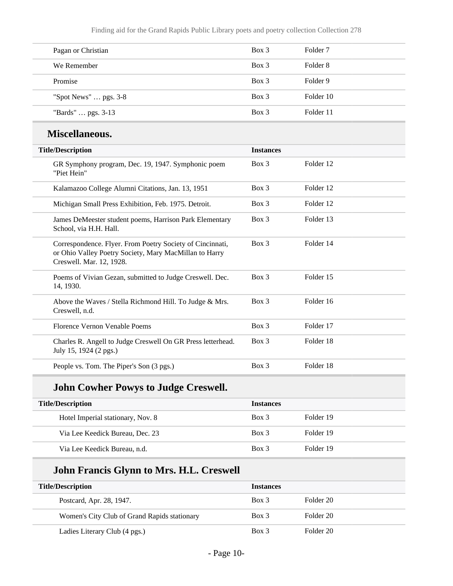| Pagan or Christian            | $Box$ 3 | Folder 7  |
|-------------------------------|---------|-----------|
| We Remember                   | $Box$ 3 | Folder 8  |
| Promise                       | $Box$ 3 | Folder 9  |
| "Spot News" $\ldots$ pgs. 3-8 | Box 3   | Folder 10 |
| "Bards"  pgs. 3-13            | $Box$ 3 | Folder 11 |

### **Miscellaneous.**

| <b>Title/Description</b>                                                                                                                        | <b>Instances</b> |           |
|-------------------------------------------------------------------------------------------------------------------------------------------------|------------------|-----------|
| GR Symphony program, Dec. 19, 1947. Symphonic poem<br>"Piet Hein"                                                                               | Box 3            | Folder 12 |
| Kalamazoo College Alumni Citations, Jan. 13, 1951                                                                                               | $Box\ 3$         | Folder 12 |
| Michigan Small Press Exhibition, Feb. 1975. Detroit.                                                                                            | $Box$ 3          | Folder 12 |
| James DeMeester student poems, Harrison Park Elementary<br>School, via H.H. Hall.                                                               | Box 3            | Folder 13 |
| Correspondence. Flyer. From Poetry Society of Cincinnati,<br>or Ohio Valley Poetry Society, Mary MacMillan to Harry<br>Creswell. Mar. 12, 1928. | $Box$ 3          | Folder 14 |
| Poems of Vivian Gezan, submitted to Judge Creswell. Dec.<br>14, 1930.                                                                           | Box 3            | Folder 15 |
| Above the Waves / Stella Richmond Hill. To Judge & Mrs.<br>Creswell, n.d.                                                                       | $Box$ 3          | Folder 16 |
| Florence Vernon Venable Poems                                                                                                                   | Box 3            | Folder 17 |
| Charles R. Angell to Judge Creswell On GR Press letterhead.<br>July 15, 1924 (2 pgs.)                                                           | $Box$ 3          | Folder 18 |
| People vs. Tom. The Piper's Son (3 pgs.)                                                                                                        | Box 3            | Folder 18 |

### **John Cowher Powys to Judge Creswell.**

| <b>Title/Description</b>          | <b>Instances</b> |           |
|-----------------------------------|------------------|-----------|
| Hotel Imperial stationary, Nov. 8 | $Box\ 3$         | Folder 19 |
| Via Lee Keedick Bureau, Dec. 23   | $Box$ 3          | Folder 19 |
| Via Lee Keedick Bureau, n.d.      | $Box$ 3          | Folder 19 |

### **John Francis Glynn to Mrs. H.L. Creswell**

| <b>Title/Description</b>                     | <b>Instances</b> |           |
|----------------------------------------------|------------------|-----------|
| Postcard, Apr. 28, 1947.                     | $Box$ 3          | Folder 20 |
| Women's City Club of Grand Rapids stationary | $Box$ 3          | Folder 20 |
| Ladies Literary Club (4 pgs.)                | $Box$ 3          | Folder 20 |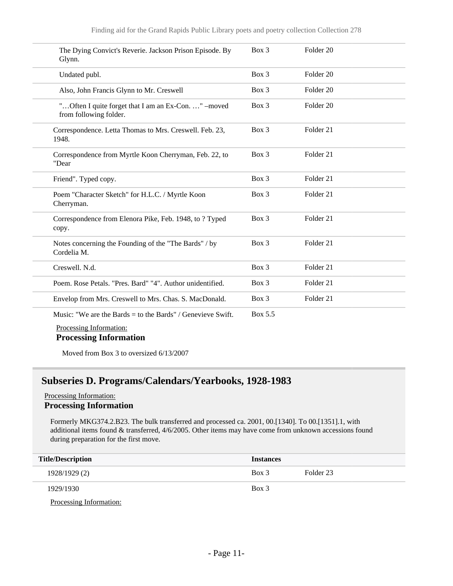| The Dying Convict's Reverie. Jackson Prison Episode. By<br>Glynn.             | Box 3   | Folder 20            |  |
|-------------------------------------------------------------------------------|---------|----------------------|--|
| Undated publ.                                                                 | Box 3   | Folder <sub>20</sub> |  |
| Also, John Francis Glynn to Mr. Creswell                                      | Box 3   | Folder <sub>20</sub> |  |
| "Often I quite forget that I am an Ex-Con. " -moved<br>from following folder. | Box 3   | Folder 20            |  |
| Correspondence. Letta Thomas to Mrs. Creswell. Feb. 23,<br>1948.              | Box 3   | Folder <sub>21</sub> |  |
| Correspondence from Myrtle Koon Cherryman, Feb. 22, to<br>"Dear               | Box 3   | Folder 21            |  |
| Friend". Typed copy.                                                          | Box 3   | Folder 21            |  |
| Poem "Character Sketch" for H.L.C. / Myrtle Koon<br>Cherryman.                | Box 3   | Folder 21            |  |
| Correspondence from Elenora Pike, Feb. 1948, to ? Typed<br>copy.              | Box 3   | Folder 21            |  |
| Notes concerning the Founding of the "The Bards" / by<br>Cordelia M.          | Box 3   | Folder 21            |  |
| Creswell. N.d.                                                                | Box 3   | Folder 21            |  |
| Poem. Rose Petals. "Pres. Bard" "4". Author unidentified.                     | Box 3   | Folder 21            |  |
| Envelop from Mrs. Creswell to Mrs. Chas. S. MacDonald.                        | Box 3   | Folder 21            |  |
| Music: "We are the Bards $=$ to the Bards" / Genevieve Swift.                 | Box 5.5 |                      |  |
| Processing Information:                                                       |         |                      |  |
| <b>Processing Information</b>                                                 |         |                      |  |

Moved from Box 3 to oversized 6/13/2007

### <span id="page-10-0"></span>**Subseries D. Programs/Calendars/Yearbooks, 1928-1983**

#### Processing Information: **Processing Information**

Formerly MKG374.2.B23. The bulk transferred and processed ca. 2001, 00.[1340]. To 00.[1351].1, with additional items found & transferred, 4/6/2005. Other items may have come from unknown accessions found during preparation for the first move.

| <b>Title/Description</b> | <b>Instances</b> |           |
|--------------------------|------------------|-----------|
| 1928/1929 (2)            | $Box$ 3          | Folder 23 |
| 1929/1930                | $Box$ 3          |           |
| Processing Information:  |                  |           |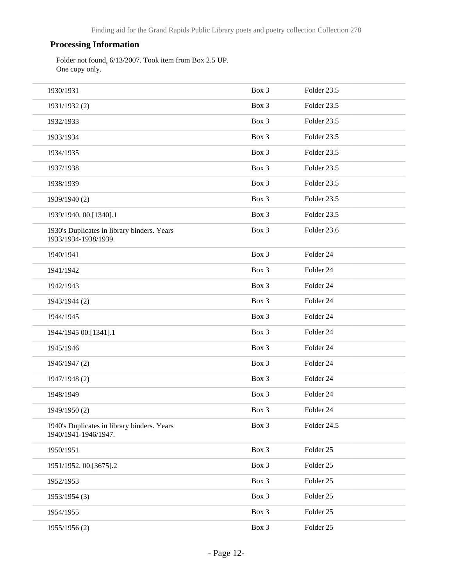#### **Processing Information**

Folder not found, 6/13/2007. Took item from Box 2.5 UP. One copy only.

| 1930/1931                                                           | Box 3 | Folder 23.5          |
|---------------------------------------------------------------------|-------|----------------------|
| 1931/1932 (2)                                                       | Box 3 | Folder 23.5          |
| 1932/1933                                                           | Box 3 | Folder 23.5          |
| 1933/1934                                                           | Box 3 | Folder 23.5          |
| 1934/1935                                                           | Box 3 | Folder 23.5          |
| 1937/1938                                                           | Box 3 | Folder 23.5          |
| 1938/1939                                                           | Box 3 | Folder 23.5          |
| 1939/1940 (2)                                                       | Box 3 | Folder 23.5          |
| 1939/1940. 00.[1340].1                                              | Box 3 | Folder 23.5          |
| 1930's Duplicates in library binders. Years<br>1933/1934-1938/1939. | Box 3 | Folder 23.6          |
| 1940/1941                                                           | Box 3 | Folder 24            |
| 1941/1942                                                           | Box 3 | Folder 24            |
| 1942/1943                                                           | Box 3 | Folder 24            |
| 1943/1944 (2)                                                       | Box 3 | Folder 24            |
| 1944/1945                                                           | Box 3 | Folder 24            |
| 1944/1945 00.[1341].1                                               | Box 3 | Folder 24            |
| 1945/1946                                                           | Box 3 | Folder 24            |
| 1946/1947 (2)                                                       | Box 3 | Folder 24            |
| 1947/1948 (2)                                                       | Box 3 | Folder 24            |
| 1948/1949                                                           | Box 3 | Folder 24            |
| 1949/1950 (2)                                                       | Box 3 | Folder 24            |
| 1940's Duplicates in library binders. Years<br>1940/1941-1946/1947. | Box 3 | Folder 24.5          |
| 1950/1951                                                           | Box 3 | Folder 25            |
| 1951/1952.00.[3675].2                                               | Box 3 | Folder 25            |
| 1952/1953                                                           | Box 3 | Folder 25            |
| 1953/1954 (3)                                                       | Box 3 | Folder 25            |
| 1954/1955                                                           | Box 3 | Folder <sub>25</sub> |
| 1955/1956(2)                                                        | Box 3 | Folder 25            |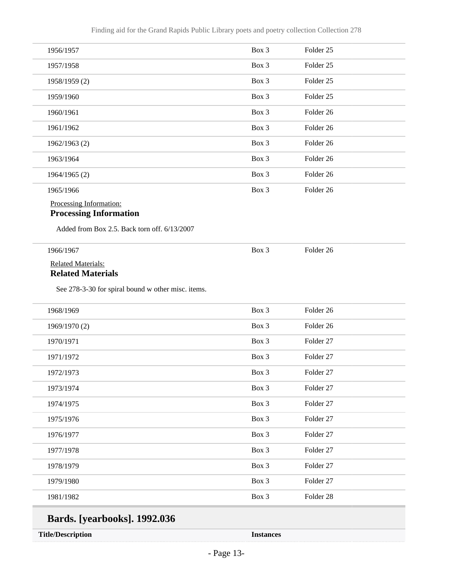| 1956/1957<br>1957/1958<br>1958/1959 (2)<br>1959/1960<br>1960/1961<br>1961/1962<br>1962/1963 (2) | Box 3<br>Box 3<br>Box 3<br>Box 3<br>Box 3 | Folder <sub>25</sub><br>Folder <sub>25</sub><br>Folder <sub>25</sub> |
|-------------------------------------------------------------------------------------------------|-------------------------------------------|----------------------------------------------------------------------|
|                                                                                                 |                                           |                                                                      |
|                                                                                                 |                                           |                                                                      |
|                                                                                                 |                                           |                                                                      |
|                                                                                                 |                                           | Folder <sub>25</sub>                                                 |
|                                                                                                 |                                           | Folder 26                                                            |
|                                                                                                 | Box 3                                     | Folder 26                                                            |
|                                                                                                 | Box 3                                     | Folder 26                                                            |
| 1963/1964                                                                                       | Box 3                                     | Folder 26                                                            |
| 1964/1965 (2)                                                                                   | Box 3                                     | Folder 26                                                            |
| 1965/1966                                                                                       | Box 3                                     | Folder 26                                                            |
| Processing Information:                                                                         |                                           |                                                                      |
| <b>Processing Information</b>                                                                   |                                           |                                                                      |
| Added from Box 2.5. Back torn off. 6/13/2007                                                    |                                           |                                                                      |
| 1966/1967                                                                                       | Box 3                                     | Folder 26                                                            |
| Related Materials:                                                                              |                                           |                                                                      |
| <b>Related Materials</b>                                                                        |                                           |                                                                      |
|                                                                                                 |                                           |                                                                      |
|                                                                                                 |                                           |                                                                      |
| See 278-3-30 for spiral bound w other misc. items.                                              |                                           |                                                                      |
| 1968/1969                                                                                       | Box 3                                     | Folder 26                                                            |
| 1969/1970 (2)                                                                                   | Box 3                                     | Folder 26                                                            |
| 1970/1971                                                                                       | Box 3                                     | Folder 27                                                            |
|                                                                                                 |                                           |                                                                      |
|                                                                                                 |                                           |                                                                      |
| 1971/1972                                                                                       | Box 3                                     | Folder 27                                                            |
| 1972/1973                                                                                       | Box 3                                     | Folder 27                                                            |
| 1973/1974                                                                                       | Box 3                                     | Folder 27                                                            |
| 1974/1975                                                                                       | Box 3                                     | Folder 27<br>Folder 27                                               |
| 1975/1976                                                                                       | Box 3                                     |                                                                      |
| 1976/1977                                                                                       | Box 3                                     | Folder 27                                                            |
| 1977/1978                                                                                       | Box 3                                     | Folder 27                                                            |
| 1978/1979                                                                                       | Box 3                                     | Folder 27                                                            |
| 1979/1980<br>1981/1982                                                                          | Box 3<br>Box 3                            | Folder 27<br>Folder 28                                               |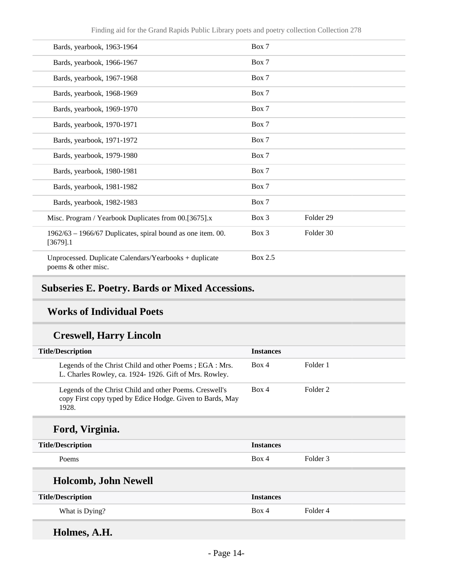Finding aid for the Grand Rapids Public Library poets and poetry collection Collection 278

| Bards, yearbook, 1963-1964                                                    | Box 7   |           |  |
|-------------------------------------------------------------------------------|---------|-----------|--|
| Bards, yearbook, 1966-1967                                                    | Box 7   |           |  |
| Bards, yearbook, 1967-1968                                                    | Box 7   |           |  |
| Bards, yearbook, 1968-1969                                                    | Box 7   |           |  |
| Bards, yearbook, 1969-1970                                                    | Box 7   |           |  |
| Bards, yearbook, 1970-1971                                                    | Box 7   |           |  |
| Bards, yearbook, 1971-1972                                                    | Box 7   |           |  |
| Bards, yearbook, 1979-1980                                                    | Box 7   |           |  |
| Bards, yearbook, 1980-1981                                                    | Box 7   |           |  |
| Bards, yearbook, 1981-1982                                                    | Box 7   |           |  |
| Bards, yearbook, 1982-1983                                                    | Box 7   |           |  |
| Misc. Program / Yearbook Duplicates from 00.[3675].x                          | Box 3   | Folder 29 |  |
| $1962/63 - 1966/67$ Duplicates, spiral bound as one item. 00.<br>$[3679]$ .1  | Box 3   | Folder 30 |  |
| Unprocessed. Duplicate Calendars/Yearbooks + duplicate<br>poems & other misc. | Box 2.5 |           |  |

### <span id="page-13-0"></span>**Subseries E. Poetry. Bards or Mixed Accessions.**

### **Works of Individual Poets**

### **Creswell, Harry Lincoln**

| <b>Title/Description</b>                                                                                                      | <b>Instances</b> |          |
|-------------------------------------------------------------------------------------------------------------------------------|------------------|----------|
| Legends of the Christ Child and other Poems; EGA : Mrs.<br>L. Charles Rowley, ca. 1924-1926. Gift of Mrs. Rowley.             | Box 4            | Folder 1 |
| Legends of the Christ Child and other Poems. Creswell's<br>copy First copy typed by Edice Hodge. Given to Bards, May<br>1928. | Box 4            | Folder 2 |
| Ford, Virginia.                                                                                                               |                  |          |
| <b>Title/Description</b>                                                                                                      | <b>Instances</b> |          |
| Poems                                                                                                                         | Box 4            | Folder 3 |
| <b>Holcomb, John Newell</b>                                                                                                   |                  |          |
| <b>Title/Description</b>                                                                                                      | <b>Instances</b> |          |
| What is Dying?                                                                                                                | Box 4            | Folder 4 |
|                                                                                                                               |                  |          |

### **Holmes, A.H.**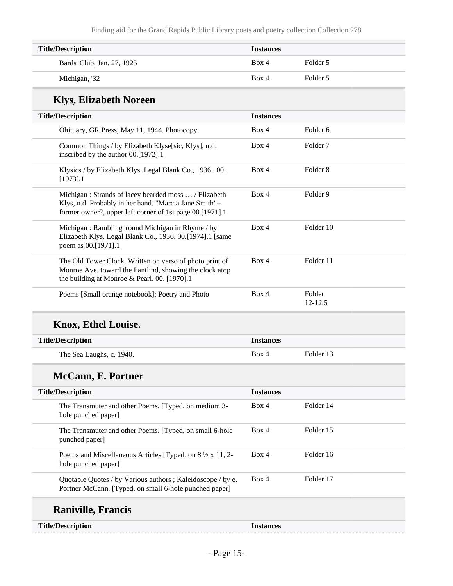| <b>Title/Description</b>   | <b>Instances</b> |          |
|----------------------------|------------------|----------|
| Bards' Club, Jan. 27, 1925 | Box 4            | Folder 5 |
| Michigan, '32              | Box 4            | Folder 5 |

### **Klys, Elizabeth Noreen**

| <b>Title/Description</b>                                                                                                                                                    | <b>Instances</b> |                     |  |
|-----------------------------------------------------------------------------------------------------------------------------------------------------------------------------|------------------|---------------------|--|
| Obituary, GR Press, May 11, 1944. Photocopy.                                                                                                                                | Box 4            | Folder 6            |  |
| Common Things / by Elizabeth Klyse [sic, Klys], n.d.<br>inscribed by the author 00.[1972].1                                                                                 | Box 4            | Folder <sub>7</sub> |  |
| Klysics / by Elizabeth Klys. Legal Blank Co., 1936 00.<br>$[1973]$ .1                                                                                                       | Box 4            | Folder 8            |  |
| Michigan : Strands of lacey bearded moss  / Elizabeth<br>Klys, n.d. Probably in her hand. "Marcia Jane Smith"--<br>former owner?, upper left corner of 1st page 00.[1971].1 | Box 4            | Folder 9            |  |
| Michigan: Rambling 'round Michigan in Rhyme / by<br>Elizabeth Klys. Legal Blank Co., 1936. 00.[1974].1 [same<br>poem as 00.[1971].1                                         | Box 4            | Folder 10           |  |
| The Old Tower Clock. Written on verso of photo print of<br>Monroe Ave. toward the Pantlind, showing the clock atop<br>the building at Monroe $\&$ Pearl. 00. [1970].1       | Box 4            | Folder 11           |  |
| Poems [Small orange notebook]; Poetry and Photo                                                                                                                             | Box 4            | Folder<br>12-12.5   |  |

### **Knox, Ethel Louise.**

| <b>Title/Description</b> | <i><u><b>Instances</b></u></i> |           |
|--------------------------|--------------------------------|-----------|
| The Sea Laughs, c. 1940. | Box 4                          | Folder 13 |

### **McCann, E. Portner**

| <b>Title/Description</b>                                                                                              | <b>Instances</b> |           |
|-----------------------------------------------------------------------------------------------------------------------|------------------|-----------|
| The Transmuter and other Poems. [Typed, on medium 3-<br>hole punched paper                                            | Box 4            | Folder 14 |
| The Transmuter and other Poems. [Typed, on small 6-hole<br>punched paper                                              | Box 4            | Folder 15 |
| Poems and Miscellaneous Articles [Typed, on $8\frac{1}{2} \times 11$ , 2-<br>hole punched paper                       | Box 4            | Folder 16 |
| Quotable Quotes / by Various authors ; Kaleidoscope / by e.<br>Portner McCann. [Typed, on small 6-hole punched paper] | Box 4            | Folder 17 |

# **Raniville, Francis**

| <b>Title/Description</b> |  |
|--------------------------|--|
|--------------------------|--|

**Instances**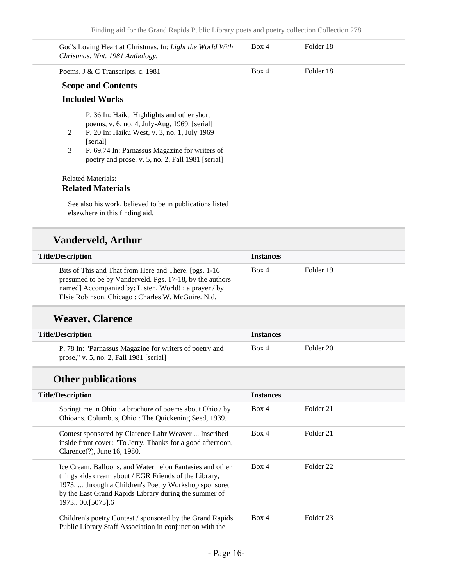|   | Poems. J & C Transcripts, c. 1981                                                                   | Box 4 | Folder 18 |
|---|-----------------------------------------------------------------------------------------------------|-------|-----------|
|   | <b>Scope and Contents</b>                                                                           |       |           |
|   | <b>Included Works</b>                                                                               |       |           |
| 1 | P. 36 In: Haiku Highlights and other short<br>poems, v. 6, no. 4, July-Aug, 1969. [serial]          |       |           |
| 2 | P. 20 In: Haiku West, v. 3, no. 1, July 1969<br>[serial]                                            |       |           |
| 3 | P. 69,74 In: Parnassus Magazine for writers of<br>poetry and prose. v. 5, no. 2, Fall 1981 [serial] |       |           |

### **Vanderveld, Arthur**

| <b>Title/Description</b>                                                                                                                                                                                                         | <b>Instances</b> |           |
|----------------------------------------------------------------------------------------------------------------------------------------------------------------------------------------------------------------------------------|------------------|-----------|
| Bits of This and That from Here and There. [pgs. 1-16]<br>presumed to be by Vanderveld. Pgs. 17-18, by the authors<br>named] Accompanied by: Listen, World! : a prayer / by<br>Elsie Robinson. Chicago: Charles W. McGuire. N.d. | Box 4            | Folder 19 |

## **Weaver, Clarence**

| <b>Title/Description</b>                                                                           | <b>Instances</b> |           |
|----------------------------------------------------------------------------------------------------|------------------|-----------|
| P. 78 In: "Parnassus Magazine for writers of poetry and<br>prose," v. 5, no. 2, Fall 1981 [serial] | Box 4            | Folder 20 |

# **Other publications**

| <b>Title/Description</b>                                                                                                                                                                                                                                 | <b>Instances</b> |                      |  |
|----------------------------------------------------------------------------------------------------------------------------------------------------------------------------------------------------------------------------------------------------------|------------------|----------------------|--|
| Springtime in Ohio: a brochure of poems about Ohio / by<br>Ohioans. Columbus, Ohio: The Quickening Seed, 1939.                                                                                                                                           | Box 4            | Folder 21            |  |
| Contest sponsored by Clarence Lahr Weaver  Inscribed<br>inside front cover: "To Jerry. Thanks for a good afternoon,<br>Clarence(?), June 16, 1980.                                                                                                       | Box 4            | Folder 21            |  |
| Ice Cream, Balloons, and Watermelon Fantasies and other<br>things kids dream about / EGR Friends of the Library,<br>1973.  through a Children's Poetry Workshop sponsored<br>by the East Grand Rapids Library during the summer of<br>1973 00. [5075]. 6 | Box 4            | Folder <sub>22</sub> |  |
| Children's poetry Contest / sponsored by the Grand Rapids<br>Public Library Staff Association in conjunction with the                                                                                                                                    | Box 4            | Folder <sub>23</sub> |  |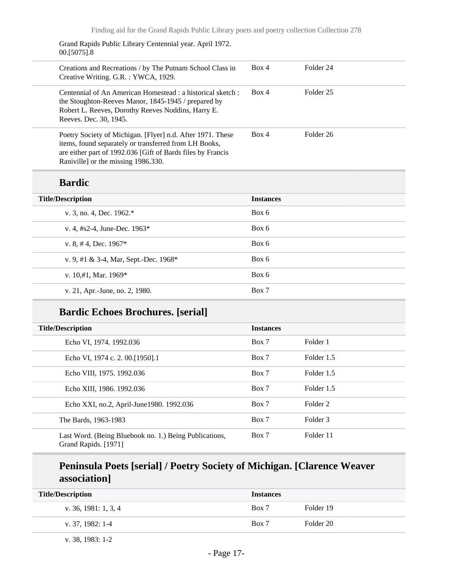Grand Rapids Public Library Centennial year. April 1972. 00.[5075].8

| Creations and Recreations / by The Putnam School Class in<br>Creative Writing. G.R. : YWCA, 1929.                                                                                                                         | Box 4 | Folder 24 |
|---------------------------------------------------------------------------------------------------------------------------------------------------------------------------------------------------------------------------|-------|-----------|
| Centennial of An American Homestead : a historical sketch :<br>the Stoughton-Reeves Manor, 1845-1945 / prepared by<br>Robert L. Reeves, Dorothy Reeves Noddins, Harry E.<br>Reeves. Dec. 30, 1945.                        | Box 4 | Folder 25 |
| Poetry Society of Michigan. [Flyer] n.d. After 1971. These<br>items, found separately or transferred from LH Books,<br>are either part of 1992.036 [Gift of Bards files by Francis<br>Raniville] or the missing 1986.330. | Box 4 | Folder 26 |
|                                                                                                                                                                                                                           |       |           |

#### **Bardic**

| <b>Title/Description</b>                | <b>Instances</b> |
|-----------------------------------------|------------------|
| v. 3, no. 4, Dec. 1962.*                | Box 6            |
| v. 4, #s2-4, June-Dec. $1963*$          | Box 6            |
| v. 8, #4, Dec. $1967*$                  | Box 6            |
| v. 9, #1 & 3-4, Mar, Sept.-Dec. $1968*$ | Box 6            |
| v. 10,#1, Mar. 1969*                    | Box 6            |
| v. 21, Apr.-June, no. 2, 1980.          | Box 7            |

### **Bardic Echoes Brochures. [serial]**

| <b>Title/Description</b>                                                       | <b>Instances</b> |            |  |
|--------------------------------------------------------------------------------|------------------|------------|--|
| Echo VI, 1974. 1992.036                                                        | Box 7            | Folder 1   |  |
| Echo VI, 1974 c. 2. 00. [1950]. 1                                              | Box 7            | Folder 1.5 |  |
| Echo VIII, 1975. 1992.036                                                      | Box 7            | Folder 1.5 |  |
| Echo XIII, 1986. 1992.036                                                      | Box 7            | Folder 1.5 |  |
| Echo XXI, no.2, April-June1980. 1992.036                                       | Box 7            | Folder 2   |  |
| The Bards, 1963-1983                                                           | Box 7            | Folder 3   |  |
| Last Word. (Being Bluebook no. 1.) Being Publications,<br>Grand Rapids. [1971] | Box 7            | Folder 11  |  |

### **Peninsula Poets [serial] / Poetry Society of Michigan. [Clarence Weaver association]**

| Box 7<br>Folder 19<br>v. 36, 1981: 1, 3, 4 |  |
|--------------------------------------------|--|
| Folder 20<br>Box 7<br>v. 37, 1982: 1-4     |  |

v. 38, 1983: 1-2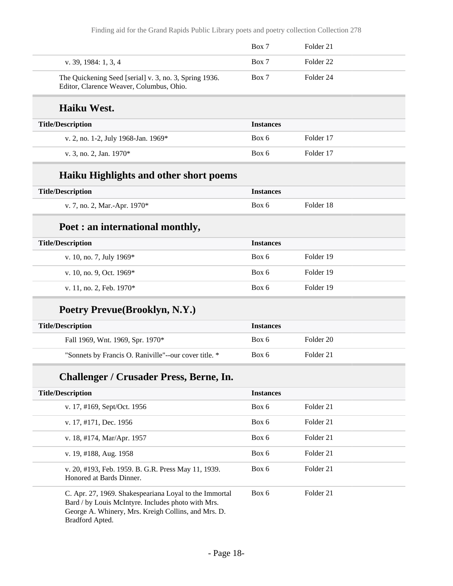|                                                                                                                                                                                        | Box 7            | Folder 21            |
|----------------------------------------------------------------------------------------------------------------------------------------------------------------------------------------|------------------|----------------------|
| v. 39, 1984: 1, 3, 4                                                                                                                                                                   | Box 7            | Folder <sub>22</sub> |
| The Quickening Seed [serial] v. 3, no. 3, Spring 1936.<br>Editor, Clarence Weaver, Columbus, Ohio.                                                                                     | Box 7            | Folder 24            |
| Haiku West.                                                                                                                                                                            |                  |                      |
| <b>Title/Description</b>                                                                                                                                                               | <b>Instances</b> |                      |
| v. 2, no. 1-2, July 1968-Jan. 1969*                                                                                                                                                    | Box 6            | Folder 17            |
| v. 3, no. 2, Jan. 1970*                                                                                                                                                                | Box 6            | Folder 17            |
| Haiku Highlights and other short poems                                                                                                                                                 |                  |                      |
| <b>Title/Description</b>                                                                                                                                                               | <b>Instances</b> |                      |
| v. 7, no. 2, Mar.-Apr. 1970*                                                                                                                                                           | Box 6            | Folder 18            |
| Poet : an international monthly,                                                                                                                                                       |                  |                      |
| <b>Title/Description</b>                                                                                                                                                               | <b>Instances</b> |                      |
| v. 10, no. 7, July 1969*                                                                                                                                                               | Box 6            | Folder 19            |
| v. 10, no. 9, Oct. 1969*                                                                                                                                                               | Box 6            | Folder 19            |
| v. 11, no. 2, Feb. 1970*                                                                                                                                                               | Box 6            | Folder 19            |
| Poetry Prevue(Brooklyn, N.Y.)                                                                                                                                                          |                  |                      |
| <b>Title/Description</b>                                                                                                                                                               | <b>Instances</b> |                      |
| Fall 1969, Wnt. 1969, Spr. 1970*                                                                                                                                                       | Box 6            | Folder 20            |
| "Sonnets by Francis O. Raniville"--our cover title. *                                                                                                                                  | Box 6            | Folder <sub>21</sub> |
| <b>Challenger / Crusader Press, Berne, In.</b>                                                                                                                                         |                  |                      |
| <b>Title/Description</b>                                                                                                                                                               | <b>Instances</b> |                      |
| v. 17, #169, Sept/Oct. 1956                                                                                                                                                            | Box 6            | Folder 21            |
| v. 17, #171, Dec. 1956                                                                                                                                                                 | Box 6            | Folder 21            |
| v. 18, #174, Mar/Apr. 1957                                                                                                                                                             | Box 6            | Folder 21            |
| v. 19, #188, Aug. 1958                                                                                                                                                                 | Box 6            | Folder 21            |
| v. 20, #193, Feb. 1959. B. G.R. Press May 11, 1939.<br>Honored at Bards Dinner.                                                                                                        | Box 6            | Folder 21            |
| C. Apr. 27, 1969. Shakespeariana Loyal to the Immortal<br>Bard / by Louis McIntyre. Includes photo with Mrs.<br>George A. Whinery, Mrs. Kreigh Collins, and Mrs. D.<br>Bradford Apted. | Box 6            | Folder 21            |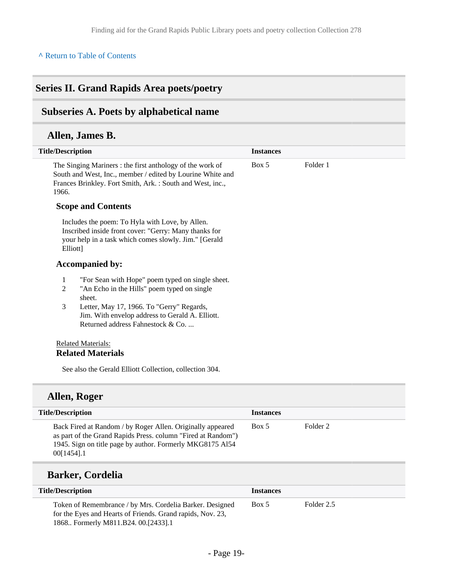#### **^** [Return to Table of Contents](#page-1-0)

### <span id="page-18-0"></span>**Series II. Grand Rapids Area poets/poetry**

### <span id="page-18-1"></span>**Subseries A. Poets by alphabetical name**

#### **Allen, James B.**

|       | <b>Title/Description</b>                                                                                                                                                             | <b>Instances</b> |          |  |
|-------|--------------------------------------------------------------------------------------------------------------------------------------------------------------------------------------|------------------|----------|--|
| 1966. | The Singing Mariners : the first anthology of the work of<br>South and West, Inc., member / edited by Lourine White and<br>Frances Brinkley. Fort Smith, Ark.: South and West, inc., | Box 5            | Folder 1 |  |
|       | <b>Scope and Contents</b>                                                                                                                                                            |                  |          |  |
|       | Includes the poem: To Hyla with Love, by Allen.<br>Inscribed inside front cover: "Gerry: Many thanks for<br>your help in a task which comes slowly. Jim." [Gerald]<br>Elliott]       |                  |          |  |
|       | <b>Accompanied by:</b>                                                                                                                                                               |                  |          |  |
| 1     | "For Sean with Hope" poem typed on single sheet.                                                                                                                                     |                  |          |  |
|       | "An Echo in the Hills" poem typed on single                                                                                                                                          |                  |          |  |
| 2     | sheet.                                                                                                                                                                               |                  |          |  |
| 3     | Letter, May 17, 1966. To "Gerry" Regards,                                                                                                                                            |                  |          |  |
|       | Jim. With envelop address to Gerald A. Elliott.<br>Returned address Fahnestock & Co                                                                                                  |                  |          |  |

#### **Related Materials**

See also the Gerald Elliott Collection, collection 304.

### **Allen, Roger**

| <b>Title/Description</b>                                                                                                                                                                              | <b>Instances</b> |          |
|-------------------------------------------------------------------------------------------------------------------------------------------------------------------------------------------------------|------------------|----------|
| Back Fired at Random / by Roger Allen. Originally appeared<br>as part of the Grand Rapids Press. column "Fired at Random")<br>1945. Sign on title page by author. Formerly MKG8175 Al54<br>00[1454].1 | Box 5            | Folder 2 |

### **Barker, Cordelia**

| <b>Title/Description</b>                                                                                                                                       | <b>Instances</b> |            |  |
|----------------------------------------------------------------------------------------------------------------------------------------------------------------|------------------|------------|--|
| Token of Remembrance / by Mrs. Cordelia Barker. Designed<br>for the Eyes and Hearts of Friends. Grand rapids, Nov. 23,<br>1868. Formerly M811.B24. 00.[2433].1 | Box 5            | Folder 2.5 |  |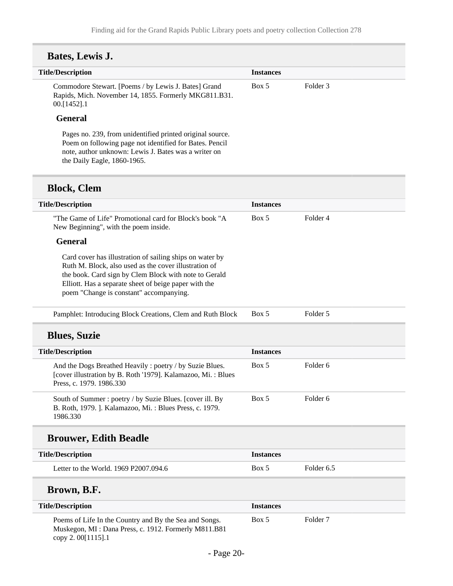#### **Bates, Lewis J.**

| <b>Title/Description</b>                                                                                                                         | <b>Instances</b> |          |
|--------------------------------------------------------------------------------------------------------------------------------------------------|------------------|----------|
| Commodore Stewart. [Poems / by Lewis J. Bates] Grand<br>Rapids, Mich. November 14, 1855. Formerly MKG811.B31.<br>$00.1452$ ].1<br><b>General</b> | Box 5            | Folder 3 |

Pages no. 239, from unidentified printed original source. Poem on following page not identified for Bates. Pencil note, author unknown: Lewis J. Bates was a writer on the Daily Eagle, 1860-1965.

#### **Block, Clem**

| <b>Title/Description</b>                                                                                                                                                                                                                                                       | <b>Instances</b> |          |  |
|--------------------------------------------------------------------------------------------------------------------------------------------------------------------------------------------------------------------------------------------------------------------------------|------------------|----------|--|
| "The Game of Life" Promotional card for Block's book "A"<br>New Beginning", with the poem inside.                                                                                                                                                                              | Box 5            | Folder 4 |  |
| <b>General</b>                                                                                                                                                                                                                                                                 |                  |          |  |
| Card cover has illustration of sailing ships on water by<br>Ruth M. Block, also used as the cover illustration of<br>the book. Card sign by Clem Block with note to Gerald<br>Elliott. Has a separate sheet of beige paper with the<br>poem "Change is constant" accompanying. |                  |          |  |

|  | Pamphlet: Introducing Block Creations, Clem and Ruth Block | Box 5 | older • |  |
|--|------------------------------------------------------------|-------|---------|--|
|--|------------------------------------------------------------|-------|---------|--|

### **Blues, Suzie**

| <b>Title/Description</b>                                                                                                                             | <b>Instances</b> |          |
|------------------------------------------------------------------------------------------------------------------------------------------------------|------------------|----------|
| And the Dogs Breathed Heavily : poetry / by Suzie Blues.<br>[cover illustration by B. Roth '1979]. Kalamazoo, Mi.: Blues<br>Press, c. 1979. 1986.330 | Box 5            | Folder 6 |
| South of Summer: poetry / by Suzie Blues. [cover ill. By<br>B. Roth, 1979. ]. Kalamazoo, Mi.: Blues Press, c. 1979.<br>1986.330                      | Box 5            | Folder 6 |

#### **Brouwer, Edith Beadle**

| <b>Title/Description</b>              | <i><u><b>Instances</b></u></i> |            |
|---------------------------------------|--------------------------------|------------|
| Letter to the World. 1969 P2007.094.6 | Box 5                          | Folder 6.5 |

### **Brown, B.F.**

| <b>Title/Description</b>                                                                                                            | <b>Instances</b> |                     |  |
|-------------------------------------------------------------------------------------------------------------------------------------|------------------|---------------------|--|
| Poems of Life In the Country and By the Sea and Songs.<br>Muskegon, MI: Dana Press, c. 1912. Formerly M811.B81<br>copy 2.00[1115].1 | Box 5            | Folder <sub>7</sub> |  |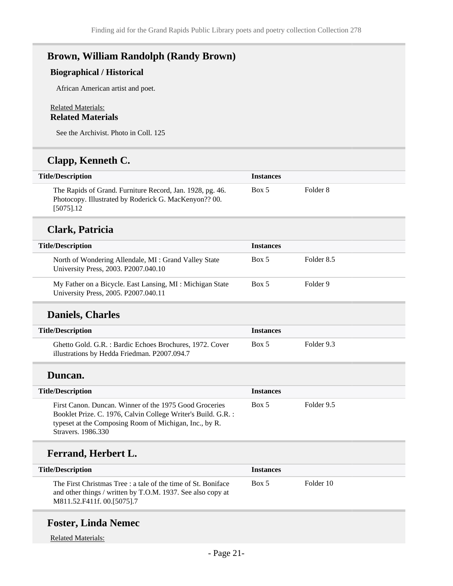### **Brown, William Randolph (Randy Brown)**

#### **Biographical / Historical**

African American artist and poet.

#### Related Materials: **Related Materials**

See the Archivist. Photo in Coll. 125

### **Clapp, Kenneth C.**

| <b>Title/Description</b>                                                                                                           | <b>Instances</b> |                     |
|------------------------------------------------------------------------------------------------------------------------------------|------------------|---------------------|
| The Rapids of Grand. Furniture Record, Jan. 1928, pg. 46.<br>Photocopy. Illustrated by Roderick G. MacKenyon?? 00.<br>$[5075]$ .12 | Box 5            | Folder <sub>8</sub> |
| Clark, Patricia                                                                                                                    |                  |                     |
| <b>Title/Description</b>                                                                                                           | <b>Instances</b> |                     |
| North of Wondering Allendale, MI: Grand Valley State<br>University Press, 2003. P2007.040.10                                       | Box 5            | Folder 8.5          |
| My Father on a Bicycle. East Lansing, MI: Michigan State<br>University Press, 2005. P2007.040.11                                   | Box 5            | Folder <sub>9</sub> |
| <b>Daniels, Charles</b>                                                                                                            |                  |                     |
| <b>Title/Description</b>                                                                                                           | <b>Instances</b> |                     |
| Ghetto Gold, G.R. : Bardic Echoes Brochures, 1972. Cover<br>illustrations by Hedda Friedman. P2007.094.7                           | Box 5            | Folder 9.3          |
| Duncan.                                                                                                                            |                  |                     |
|                                                                                                                                    |                  |                     |
| <b>Title/Description</b>                                                                                                           | <b>Instances</b> |                     |

### **Ferrand, Herbert L.**

| <b>Title/Description</b>                                                                                                                                   | <b>Instances</b> |           |
|------------------------------------------------------------------------------------------------------------------------------------------------------------|------------------|-----------|
| The First Christmas Tree : a tale of the time of St. Boniface<br>and other things / written by T.O.M. 1937. See also copy at<br>M811.52.F411f. 00.[5075].7 | Box 5            | Folder 10 |

### **Foster, Linda Nemec**

Related Materials: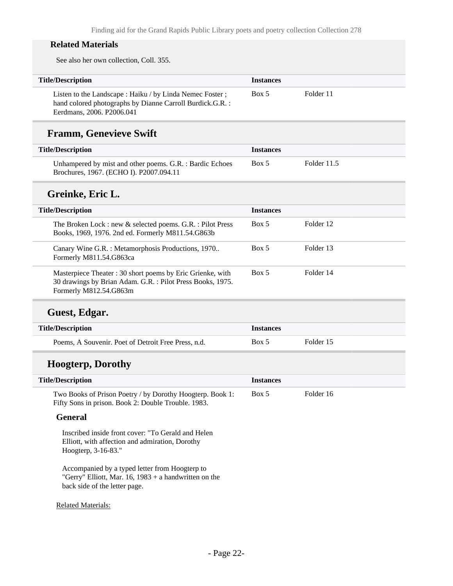#### **Related Materials**

See also her own collection, Coll. 355.

| <b>Title/Description</b>                                                                                                                           | <b>Instances</b> |             |
|----------------------------------------------------------------------------------------------------------------------------------------------------|------------------|-------------|
| Listen to the Landscape : Haiku / by Linda Nemec Foster;<br>hand colored photographs by Dianne Carroll Burdick.G.R. :<br>Eerdmans, 2006. P2006.041 | Box 5            | Folder 11   |
| <b>Framm, Genevieve Swift</b>                                                                                                                      |                  |             |
| <b>Title/Description</b>                                                                                                                           | <b>Instances</b> |             |
| Unhampered by mist and other poems. G.R. : Bardic Echoes<br>Brochures, 1967. (ECHO I). P2007.094.11                                                | Box 5            | Folder 11.5 |
| Greinke, Eric L.                                                                                                                                   |                  |             |
| <b>Title/Description</b>                                                                                                                           | <b>Instances</b> |             |
| The Broken Lock : new & selected poems. G.R. : Pilot Press<br>Books, 1969, 1976. 2nd ed. Formerly M811.54.G863b                                    | Box 5            | Folder 12   |
| Canary Wine G.R. : Metamorphosis Productions, 1970<br>Formerly M811.54.G863ca                                                                      | Box 5            | Folder 13   |
| Masterpiece Theater: 30 short poems by Eric Grienke, with<br>30 drawings by Brian Adam. G.R. : Pilot Press Books, 1975.<br>Formerly M812.54.G863m  | Box 5            | Folder 14   |
| Guest, Edgar.                                                                                                                                      |                  |             |
| <b>Title/Description</b>                                                                                                                           | <b>Instances</b> |             |
| Poems, A Souvenir. Poet of Detroit Free Press, n.d.                                                                                                | Box 5            | Folder 15   |
| <b>Hoogterp, Dorothy</b>                                                                                                                           |                  |             |
| <b>Title/Description</b>                                                                                                                           | <b>Instances</b> |             |
| Two Books of Prison Poetry / by Dorothy Hoogterp. Book 1:<br>Fifty Sons in prison. Book 2: Double Trouble. 1983.                                   | Box 5            | Folder 16   |
| <b>General</b>                                                                                                                                     |                  |             |
| Inscribed inside front cover: "To Gerald and Helen                                                                                                 |                  |             |

Elliott, with affection and admiration, Dorothy Hoogterp, 3-16-83."

Accompanied by a typed letter from Hoogterp to "Gerry" Elliott, Mar. 16, 1983 + a handwritten on the back side of the letter page.

Related Materials: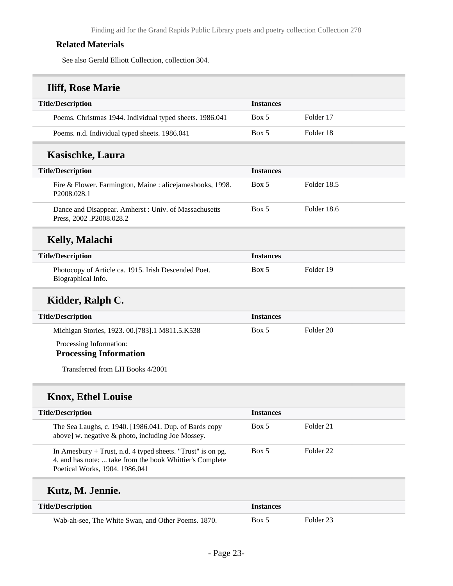#### **Related Materials**

See also Gerald Elliott Collection, collection 304.

### **Iliff, Rose Marie**

| <b>Title/Description</b>                                                             | <b>Instances</b> |             |
|--------------------------------------------------------------------------------------|------------------|-------------|
| Poems. Christmas 1944. Individual typed sheets. 1986.041                             | Box 5            | Folder 17   |
| Poems. n.d. Individual typed sheets. 1986.041                                        | Box 5            | Folder 18   |
| <b>Kasischke, Laura</b>                                                              |                  |             |
| <b>Title/Description</b>                                                             | <b>Instances</b> |             |
| Fire & Flower. Farmington, Maine : alicejamesbooks, 1998.<br>P2008.028.1             | Box 5            | Folder 18.5 |
| Dance and Disappear. Amherst: Univ. of Massachusetts<br>Press, 2002.P2008.028.2      | Box 5            | Folder 18.6 |
| Kelly, Malachi                                                                       |                  |             |
| <b>Title/Description</b>                                                             | <b>Instances</b> |             |
| Photocopy of Article ca. 1915. Irish Descended Poet.<br>Biographical Info.           | Box 5            | Folder 19   |
| Kidder, Ralph C.                                                                     |                  |             |
|                                                                                      |                  |             |
|                                                                                      | <b>Instances</b> |             |
| Michigan Stories, 1923. 00.[783].1 M811.5.K538                                       | Box 5            | Folder 20   |
| <b>Title/Description</b><br>Processing Information:<br><b>Processing Information</b> |                  |             |

### **Knox, Ethel Louise**

| <b>Title/Description</b>                                                                                                                                    | <b>Instances</b> |           |
|-------------------------------------------------------------------------------------------------------------------------------------------------------------|------------------|-----------|
| The Sea Laughs, c. 1940. [1986.041. Dup. of Bards copy<br>above] w. negative & photo, including Joe Mossey.                                                 | Box 5            | Folder 21 |
| In Amesbury $+$ Trust, n.d. 4 typed sheets. "Trust" is on pg.<br>4, and has note:  take from the book Whittier's Complete<br>Poetical Works, 1904. 1986.041 | Box 5            | Folder 22 |

### **Kutz, M. Jennie.**

| <b>Title/Description</b>                           | <b>Instances</b> |           |
|----------------------------------------------------|------------------|-----------|
| Wab-ah-see, The White Swan, and Other Poems. 1870. | Box 5            | Folder 23 |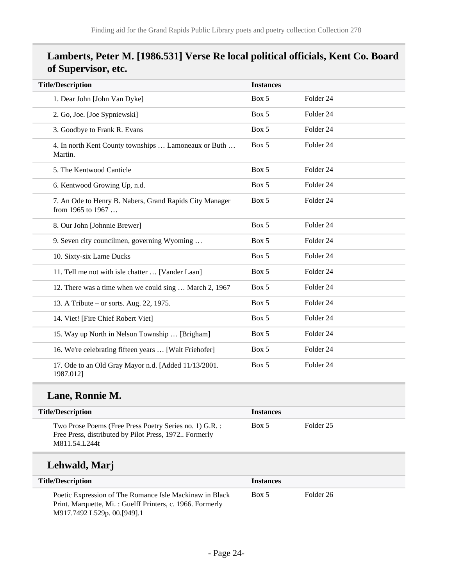### **Lamberts, Peter M. [1986.531] Verse Re local political officials, Kent Co. Board of Supervisor, etc.**

| <b>Title/Description</b>                                                     | <b>Instances</b> |                      |
|------------------------------------------------------------------------------|------------------|----------------------|
| 1. Dear John [John Van Dyke]                                                 | Box 5            | Folder 24            |
| 2. Go, Joe. [Joe Sypniewski]                                                 | Box 5            | Folder 24            |
| 3. Goodbye to Frank R. Evans                                                 | Box 5            | Folder 24            |
| 4. In north Kent County townships  Lamoneaux or Buth<br>Martin.              | Box 5            | Folder 24            |
| 5. The Kentwood Canticle                                                     | Box 5            | Folder 24            |
| 6. Kentwood Growing Up, n.d.                                                 | Box 5            | Folder 24            |
| 7. An Ode to Henry B. Nabers, Grand Rapids City Manager<br>from 1965 to 1967 | Box 5            | Folder 24            |
| 8. Our John [Johnnie Brewer]                                                 | Box 5            | Folder 24            |
| 9. Seven city councilmen, governing Wyoming                                  | Box 5            | Folder 24            |
| 10. Sixty-six Lame Ducks                                                     | Box 5            | Folder 24            |
| 11. Tell me not with isle chatter  [Vander Laan]                             | Box 5            | Folder 24            |
| 12. There was a time when we could sing  March 2, 1967                       | Box 5            | Folder 24            |
| 13. A Tribute – or sorts. Aug. 22, 1975.                                     | Box 5            | Folder 24            |
| 14. Viet! [Fire Chief Robert Viet]                                           | Box 5            | Folder 24            |
| 15. Way up North in Nelson Township  [Brigham]                               | Box 5            | Folder 24            |
| 16. We're celebrating fifteen years  [Walt Friehofer]                        | Box 5            | Folder 24            |
| 17. Ode to an Old Gray Mayor n.d. [Added 11/13/2001.<br>1987.012]            | Box 5            | Folder <sub>24</sub> |

### **Lane, Ronnie M.**

| <b>Title/Description</b>                                                                                                          | <b>Instances</b> |           |  |
|-----------------------------------------------------------------------------------------------------------------------------------|------------------|-----------|--|
| Two Prose Poems (Free Press Poetry Series no. 1) G.R. :<br>Free Press, distributed by Pilot Press, 1972 Formerly<br>M811.54.L244t | Box 5            | Folder 25 |  |

### **Lehwald, Marj**

| <b>Title/Description</b>                                                                                                                            | <b>Instances</b> |           |
|-----------------------------------------------------------------------------------------------------------------------------------------------------|------------------|-----------|
| Poetic Expression of The Romance Isle Mackinaw in Black<br>Print. Marquette, Mi.: Guelff Printers, c. 1966. Formerly<br>M917.7492 L529p. 00.[949].1 | Box 5            | Folder 26 |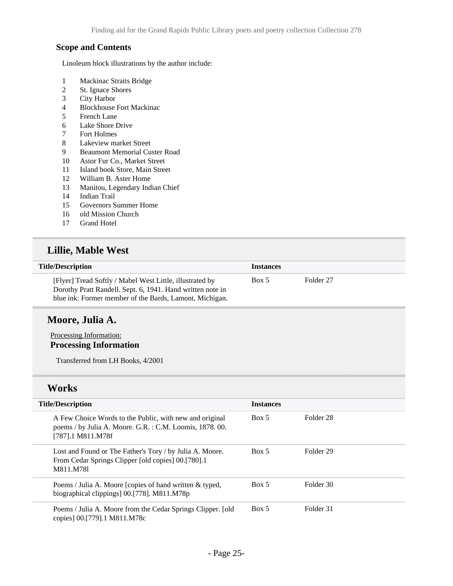#### **Scope and Contents**

Linoleum block illustrations by the author include:

- 1 Mackinac Straits Bridge<br>2 St. Ignace Shores
- 2 St. Ignace Shores<br>3 City Harbor
- City Harbor
- 4 Blockhouse Fort Mackinac
- 5 French Lane
- 6 Lake Shore Drive
- Fort Holmes
- 8 Lakeview market Street
- 9 Beaumont Memorial Custer Road
- 10 Astor Fur Co., Market Street
- 11 Island book Store, Main Street
- 12 William B. Aster Home
- 13 Manitou, Legendary Indian Chief
- 14 Indian Trail
- 15 Governors Summer Home
- 16 old Mission Church
- 17 Grand Hotel

#### **Lillie, Mable West**

| <b>Title/Description</b>                                                                                                                                                          | <b>Instances</b> |           |
|-----------------------------------------------------------------------------------------------------------------------------------------------------------------------------------|------------------|-----------|
| [Flyer] Tread Softly / Mabel West Little, illustrated by<br>Dorothy Pratt Randell. Sept. 6, 1941. Hand written note in<br>blue ink: Former member of the Bards, Lamont, Michigan. | Box 5            | Folder 27 |

#### **Moore, Julia A.**

Processing Information: **Processing Information**

Transferred from LH Books, 4/2001

#### **Works**

| <b>Title/Description</b>                                                                                                                 | <b>Instances</b> |           |
|------------------------------------------------------------------------------------------------------------------------------------------|------------------|-----------|
| A Few Choice Words to the Public, with new and original<br>poems / by Julia A. Moore. G.R. : C.M. Loomis, 1878. 00.<br>[787].1 M811.M78f | Box 5            | Folder 28 |
| Lost and Found or The Father's Tory / by Julia A. Moore.<br>From Cedar Springs Clipper [old copies] 00.[780].1<br>M811.M781              | Box 5            | Folder 29 |
| Poems / Julia A. Moore [copies of hand written & typed,<br>biographical clippings] 00.[778]. M811.M78p                                   | Box 5            | Folder 30 |
| Poems / Julia A. Moore from the Cedar Springs Clipper. [old]<br>copies 00. [779] .1 M811. M78c                                           | Box 5            | Folder 31 |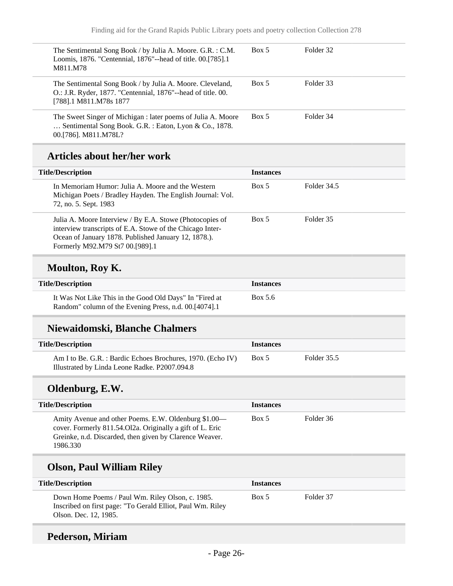| The Sentimental Song Book / by Julia A. Moore. G.R. : C.M.<br>Loomis, 1876. "Centennial, 1876"--head of title. 00.[785].1<br>M811.M78               | Box 5 | Folder 32 |
|-----------------------------------------------------------------------------------------------------------------------------------------------------|-------|-----------|
| The Sentimental Song Book / by Julia A. Moore. Cleveland,<br>O.: J.R. Ryder, 1877. "Centennial, 1876"--head of title. 00.<br>[788].1 M811.M78s 1877 | Box 5 | Folder 33 |
| The Sweet Singer of Michigan : later poems of Julia A. Moore<br>Sentimental Song Book. G.R. : Eaton, Lyon & Co., 1878.<br>00.[786]. M811.M78L?      | Box 5 | Folder 34 |

### **Articles about her/her work**

| <b>Title/Description</b>                                                                                                                                                                                         | <b>Instances</b> |             |
|------------------------------------------------------------------------------------------------------------------------------------------------------------------------------------------------------------------|------------------|-------------|
| In Memoriam Humor: Julia A. Moore and the Western<br>Michigan Poets / Bradley Hayden. The English Journal: Vol.<br>72, no. 5. Sept. 1983                                                                         | Box 5            | Folder 34.5 |
| Julia A. Moore Interview / By E.A. Stowe (Photocopies of<br>interview transcripts of E.A. Stowe of the Chicago Inter-<br>Ocean of January 1878. Published January 12, 1878.).<br>Formerly M92.M79 St7 00.[989].1 | Box 5            | Folder 35   |
| Moulton, Roy K.                                                                                                                                                                                                  |                  |             |
| Title/Deservintion                                                                                                                                                                                               | Instances        |             |

| <b>Title/Description</b>                                | <i>Instances</i> |  |
|---------------------------------------------------------|------------------|--|
| It Was Not Like This in the Good Old Days" In "Fired at | Box 5.6          |  |
| Random" column of the Evening Press, n.d. 00.[4074].1   |                  |  |

### **Niewaidomski, Blanche Chalmers**

| <b>Title/Description</b>                                    | <i>Instances</i> |             |
|-------------------------------------------------------------|------------------|-------------|
| Am I to Be. G.R. : Bardic Echoes Brochures, 1970. (Echo IV) | Box 5            | Folder 35.5 |
| Illustrated by Linda Leone Radke. P2007.094.8               |                  |             |

### **Oldenburg, E.W.**

| <b>Title/Description</b>                                                                                                                                                                 | <b>Instances</b> |           |
|------------------------------------------------------------------------------------------------------------------------------------------------------------------------------------------|------------------|-----------|
| Amity Avenue and other Poems. E.W. Oldenburg \$1.00—<br>cover. Formerly 811.54.012a. Originally a gift of L. Eric<br>Greinke, n.d. Discarded, then given by Clarence Weaver.<br>1986.330 | Box 5            | Folder 36 |

### **Olson, Paul William Riley**

| <b>Title/Description</b>                                                                                                                | <b>Instances</b> |           |
|-----------------------------------------------------------------------------------------------------------------------------------------|------------------|-----------|
| Down Home Poems / Paul Wm. Riley Olson, c. 1985.<br>Inscribed on first page: "To Gerald Elliot, Paul Wm. Riley<br>Olson. Dec. 12, 1985. | Box 5            | Folder 37 |

### **Pederson, Miriam**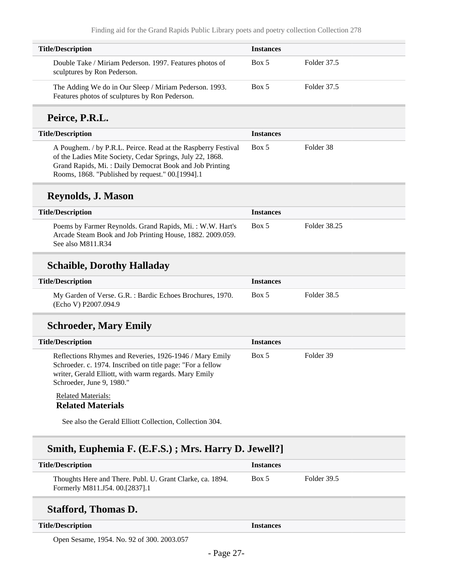| <b>Title/Description</b>                                                                                 | <b>Instances</b> |             |
|----------------------------------------------------------------------------------------------------------|------------------|-------------|
| Double Take / Miriam Pederson. 1997. Features photos of<br>sculptures by Ron Pederson.                   | Box 5            | Folder 37.5 |
| The Adding We do in Our Sleep / Miriam Pederson. 1993.<br>Features photos of sculptures by Ron Pederson. | Box 5            | Folder 37.5 |

#### **Peirce, P.R.L.**

| <b>Title/Description</b>                                                                                                                                                                                                                    | <b>Instances</b> |           |
|---------------------------------------------------------------------------------------------------------------------------------------------------------------------------------------------------------------------------------------------|------------------|-----------|
| A Poughem. / by P.R.L. Peirce. Read at the Raspberry Festival<br>of the Ladies Mite Society, Cedar Springs, July 22, 1868.<br>Grand Rapids, Mi.: Daily Democrat Book and Job Printing<br>Rooms, 1868. "Published by request." 00. [1994]. 1 | Box 5            | Folder 38 |

#### **Reynolds, J. Mason**

| <b>Title/Description</b>                                                                                                                   | <i><u><b>Instances</b></u></i> |              |
|--------------------------------------------------------------------------------------------------------------------------------------------|--------------------------------|--------------|
| Poems by Farmer Reynolds. Grand Rapids, Mi.: W.W. Hart's<br>Arcade Steam Book and Job Printing House, 1882. 2009.059.<br>See also M811.R34 | Box 5                          | Folder 38.25 |
|                                                                                                                                            |                                |              |

### **Schaible, Dorothy Halladay**

| <b>Title/Description</b>                                                          | <i><u><b>Instances</b></u></i> |             |
|-----------------------------------------------------------------------------------|--------------------------------|-------------|
| My Garden of Verse. G.R. : Bardic Echoes Brochures, 1970.<br>(Echo V) P2007.094.9 | Box 5                          | Folder 38.5 |

#### **Schroeder, Mary Emily**

| <b>Title/Description</b>                                                                                                                                                                                    | <b>Instances</b> |           |
|-------------------------------------------------------------------------------------------------------------------------------------------------------------------------------------------------------------|------------------|-----------|
| Reflections Rhymes and Reveries, 1926-1946 / Mary Emily<br>Schroeder. c. 1974. Inscribed on title page: "For a fellow<br>writer, Gerald Elliott, with warm regards. Mary Emily<br>Schroeder, June 9, 1980." | Box 5            | Folder 39 |
| <b>Related Materials:</b><br><b>Related Materials</b>                                                                                                                                                       |                  |           |

See also the Gerald Elliott Collection, Collection 304.

### **Smith, Euphemia F. (E.F.S.) ; Mrs. Harry D. Jewell?]**

| <b>Title/Description</b>                                                                    | <i><u><b>Instances</b></u></i> |             |
|---------------------------------------------------------------------------------------------|--------------------------------|-------------|
| Thoughts Here and There. Publ. U. Grant Clarke, ca. 1894.<br>Formerly M811.J54. 00.[2837].1 | Box 5                          | Folder 39.5 |

#### **Stafford, Thomas D.**

#### **Title/Description Instances**

Open Sesame, 1954. No. 92 of 300. 2003.057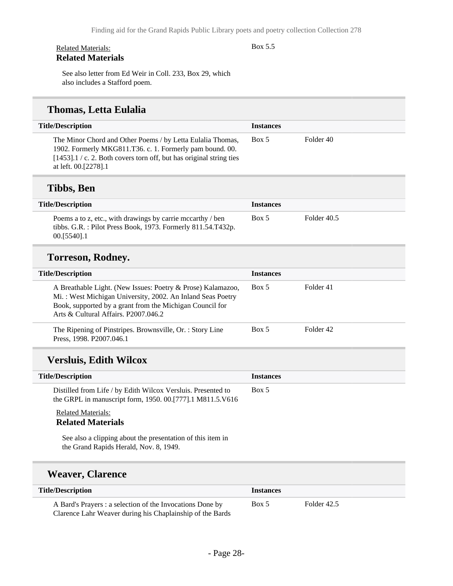#### Related Materials: **Related Materials**

Box 5.5

See also letter from Ed Weir in Coll. 233, Box 29, which also includes a Stafford poem.

#### **Thomas, Letta Eulalia**

| <b>Title/Description</b>                                                                                                                                                                                                   | <b>Instances</b> |             |
|----------------------------------------------------------------------------------------------------------------------------------------------------------------------------------------------------------------------------|------------------|-------------|
| The Minor Chord and Other Poems / by Letta Eulalia Thomas,<br>1902. Formerly MKG811.T36. c. 1. Formerly pam bound. 00.<br>$[1453]$ . $1/c$ . 2. Both covers torn off, but has original string ties<br>at left. 00.[2278].1 | Box 5            | Folder 40   |
| Tibbs, Ben                                                                                                                                                                                                                 |                  |             |
| <b>Title/Description</b>                                                                                                                                                                                                   | <b>Instances</b> |             |
| Poems a to z, etc., with drawings by carrie mccarthy / ben<br>tibbs. G.R. : Pilot Press Book, 1973. Formerly $811.54. T432p$ .                                                                                             | Box 5            | Folder 40.5 |

#### **Torreson, Rodney.**

00.[5540].1

| <b>Title/Description</b>                                                                                                                                                                                                      | <b>Instances</b> |           |
|-------------------------------------------------------------------------------------------------------------------------------------------------------------------------------------------------------------------------------|------------------|-----------|
| A Breathable Light. (New Issues: Poetry & Prose) Kalamazoo,<br>Mi.: West Michigan University, 2002. An Inland Seas Poetry<br>Book, supported by a grant from the Michigan Council for<br>Arts & Cultural Affairs, P2007,046.2 | Box 5            | Folder 41 |
| The Ripening of Pinstripes. Brownsville, Or.: Story Line<br>Press, 1998. P2007.046.1                                                                                                                                          | Box 5            | Folder 42 |

#### **Versluis, Edith Wilcox**

| <b>Title/Description</b>                                                                                                  | <b>Instances</b> |
|---------------------------------------------------------------------------------------------------------------------------|------------------|
| Distilled from Life / by Edith Wilcox Versluis. Presented to<br>the GRPL in manuscript form, 1950. 00.[777].1 M811.5.V616 | Box 5            |
| <b>Related Materials:</b>                                                                                                 |                  |

#### **Related Materials**

See also a clipping about the presentation of this item in the Grand Rapids Herald, Nov. 8, 1949.

### **Weaver, Clarence**

| <b>Title/Description</b>                                                                                               | <b>Instances</b> |             |
|------------------------------------------------------------------------------------------------------------------------|------------------|-------------|
| A Bard's Prayers : a selection of the Invocations Done by<br>Clarence Lahr Weaver during his Chaplainship of the Bards | Box 5            | Folder 42.5 |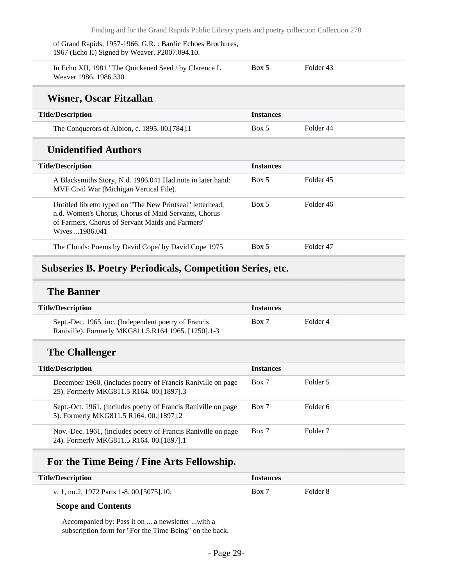of Grand Rapids, 1957-1966. G.R. : Bardic Echoes Brochures, 1967 (Echo II) Signed by Weaver. P2007.094.10.

| In Echo XII, 1981 "The Quickened Seed / by Clarence L. | Box 5 | Folder 43 |  |
|--------------------------------------------------------|-------|-----------|--|
| Weaver 1986, 1986.330.                                 |       |           |  |

#### **Wisner, Oscar Fitzallan**

| <b>Title/Description</b>                      | <i>Instances</i> |           |
|-----------------------------------------------|------------------|-----------|
| The Conquerors of Albion, c. 1895. 00.[784].1 | Box 5            | Folder 44 |

#### **Unidentified Authors**

| <b>Title/Description</b>                                                                                                                                                                  | <b>Instances</b> |           |
|-------------------------------------------------------------------------------------------------------------------------------------------------------------------------------------------|------------------|-----------|
| A Blacksmiths Story, N.d. 1986.041 Had note in later hand:<br>MVF Civil War (Michigan Vertical File).                                                                                     | Box 5            | Folder 45 |
| Untitled libretto typed on "The New Printseal" letterhead,<br>n.d. Women's Chorus, Chorus of Maid Servants, Chorus<br>of Farmers, Chorus of Servant Maids and Farmers'<br>Wives  1986.041 | Box 5            | Folder 46 |
| The Clouds: Poems by David Cope/ by David Cope 1975                                                                                                                                       | Box 5            | Folder 47 |

#### <span id="page-28-0"></span>**Subseries B. Poetry Periodicals, Competition Series, etc.**

#### **The Banner**

| <b>Title/Description</b>                                                                                    | <b>Instances</b> |          |
|-------------------------------------------------------------------------------------------------------------|------------------|----------|
| Sept.-Dec. 1965, inc. (Independent poetry of Francis<br>Raniville). Formerly MKG811.5.R164 1965. [1250].1-3 | Box 7            | Folder 4 |

#### **The Challenger**

| <b>Title/Description</b>                                                                                    | <b>Instances</b> |                     |
|-------------------------------------------------------------------------------------------------------------|------------------|---------------------|
| December 1960, (includes poetry of Francis Raniville on page<br>25). Formerly MKG811.5 R164. 00.[1897].3    | Box 7            | Folder 5            |
| Sept.-Oct. 1961, (includes poetry of Francis Raniville on page<br>5). Formerly MKG811.5 R164. 00. [1897]. 2 | Box 7            | Folder 6            |
| Nov.-Dec. 1961, (includes poetry of Francis Raniville on page<br>24). Formerly MKG811.5 R164. 00.[1897].1   | Box 7            | Folder <sub>7</sub> |

#### **For the Time Being / Fine Arts Fellowship.**

| <b>Title/Description</b>                    | <i><u><b>Instances</b></u></i> |          |
|---------------------------------------------|--------------------------------|----------|
| v. 1, no.2, 1972 Parts 1-8. 00. [5075]. 10. | Box 7                          | Folder 8 |

#### **Scope and Contents**

Accompanied by: Pass it on ... a newsletter ...with a subscription form for "For the Time Being" on the back.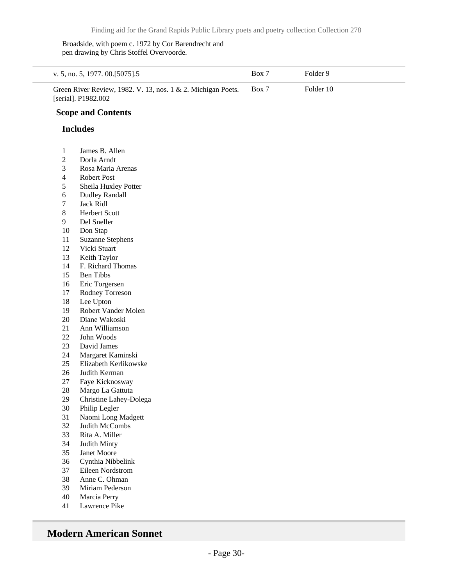Broadside, with poem c. 1972 by Cor Barendrecht and pen drawing by Chris Stoffel Overvoorde.

|                | Green River Review, 1982. V. 13, nos. 1 & 2. Michigan Poets. | Box 7 | Folder 10 |
|----------------|--------------------------------------------------------------|-------|-----------|
|                | [serial]. P1982.002                                          |       |           |
|                | <b>Scope and Contents</b>                                    |       |           |
|                | <b>Includes</b>                                              |       |           |
| $\mathbf{1}$   | James B. Allen                                               |       |           |
| $\overline{2}$ | Dorla Arndt                                                  |       |           |
| 3              | Rosa Maria Arenas                                            |       |           |
| $\overline{4}$ | Robert Post                                                  |       |           |
| 5              | Sheila Huxley Potter                                         |       |           |
| 6              | Dudley Randall                                               |       |           |
| $\tau$         | Jack Ridl                                                    |       |           |
| $\,8\,$        | Herbert Scott                                                |       |           |
| 9              | Del Sneller                                                  |       |           |
| 10             | Don Stap                                                     |       |           |
| 11             | <b>Suzanne Stephens</b>                                      |       |           |
| 12             | Vicki Stuart                                                 |       |           |
| 13             | Keith Taylor                                                 |       |           |
| 14             | F. Richard Thomas                                            |       |           |
| 15             | Ben Tibbs                                                    |       |           |
| 16             | Eric Torgersen                                               |       |           |
| 17             | Rodney Torreson                                              |       |           |
| 18             | Lee Upton                                                    |       |           |
| 19             | Robert Vander Molen                                          |       |           |
| 20             | Diane Wakoski                                                |       |           |
| 21             | Ann Williamson                                               |       |           |
| $22\,$         | John Woods                                                   |       |           |
| 23             | David James                                                  |       |           |
| 24             | Margaret Kaminski                                            |       |           |
| 25             | Elizabeth Kerlikowske                                        |       |           |
| 26             | Judith Kerman                                                |       |           |
| 27<br>28       | Faye Kicknosway                                              |       |           |
|                | Margo La Gattuta                                             |       |           |
| 29<br>30       | Christine Lahey-Dolega                                       |       |           |
| 31             | Philip Legler<br>Naomi Long Madgett                          |       |           |
| 32             | Judith McCombs                                               |       |           |
| 33             | Rita A. Miller                                               |       |           |
| 34             | Judith Minty                                                 |       |           |
| 35             | Janet Moore                                                  |       |           |
| 36             | Cynthia Nibbelink                                            |       |           |
| 37             | Eileen Nordstrom                                             |       |           |
| 38             | Anne C. Ohman                                                |       |           |
| 39             | Miriam Pederson                                              |       |           |
| 40             | Marcia Perry                                                 |       |           |
| 41             | Lawrence Pike                                                |       |           |
|                |                                                              |       |           |

### **Modern American Sonnet**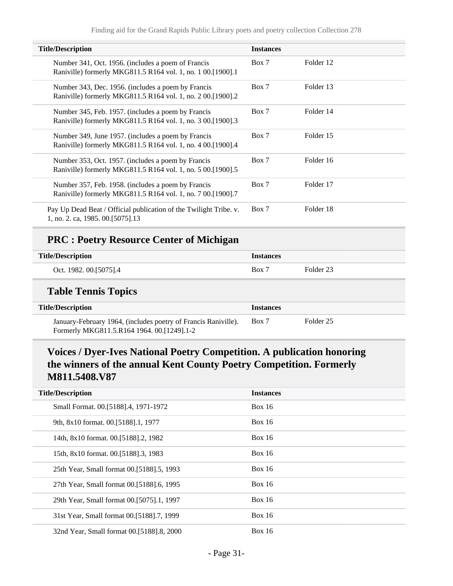| <b>Title/Description</b>                                                                                            | <b>Instances</b> |           |  |
|---------------------------------------------------------------------------------------------------------------------|------------------|-----------|--|
| Number 341, Oct. 1956. (includes a poem of Francis<br>Raniville) formerly MKG811.5 R164 vol. 1, no. 1 00.[1900].1   | Box 7            | Folder 12 |  |
| Number 343, Dec. 1956. (includes a poem by Francis<br>Raniville) formerly MKG811.5 R164 vol. 1, no. 2 00.[1900].2   | Box 7            | Folder 13 |  |
| Number 345, Feb. 1957. (includes a poem by Francis<br>Raniville) formerly MKG811.5 R164 vol. 1, no. 3 00.[1900].3   | Box 7            | Folder 14 |  |
| Number 349, June 1957. (includes a poem by Francis<br>Raniville) formerly MKG811.5 R164 vol. 1, no. 4 00. [1900]. 4 | Box 7            | Folder 15 |  |
| Number 353, Oct. 1957. (includes a poem by Francis<br>Raniville) formerly MKG811.5 R164 vol. 1, no. 5 00.[1900].5   | Box 7            | Folder 16 |  |
| Number 357, Feb. 1958. (includes a poem by Francis<br>Raniville) formerly MKG811.5 R164 vol. 1, no. 7 00.[1900].7   | Box 7            | Folder 17 |  |
| Pay Up Dead Beat / Official publication of the Twilight Tribe. v.<br>1, no. 2. ca, 1985. 00.[5075].13               | Box 7            | Folder 18 |  |

#### **PRC : Poetry Resource Center of Michigan**

| <b>Title/Description</b>                                                                                     | <b>Instances</b> |           |
|--------------------------------------------------------------------------------------------------------------|------------------|-----------|
| Oct. 1982. 00. [5075]. 4                                                                                     | Box 7            | Folder 23 |
| <b>Table Tennis Topics</b>                                                                                   |                  |           |
| <b>Title/Description</b>                                                                                     | <b>Instances</b> |           |
| January-February 1964, (includes poetry of Francis Raniville).<br>Formerly MKG811.5.R164 1964. 00.[1249].1-2 | Box 7            | Folder 25 |

### **Voices / Dyer-Ives National Poetry Competition. A publication honoring the winners of the annual Kent County Poetry Competition. Formerly M811.5408.V87**

| <b>Instances</b> |
|------------------|
| Box $16$         |
| <b>Box 16</b>    |
| Box $16$         |
| Box $16$         |
| Box $16$         |
| Box $16$         |
| Box $16$         |
| Box $16$         |
| Box $16$         |
|                  |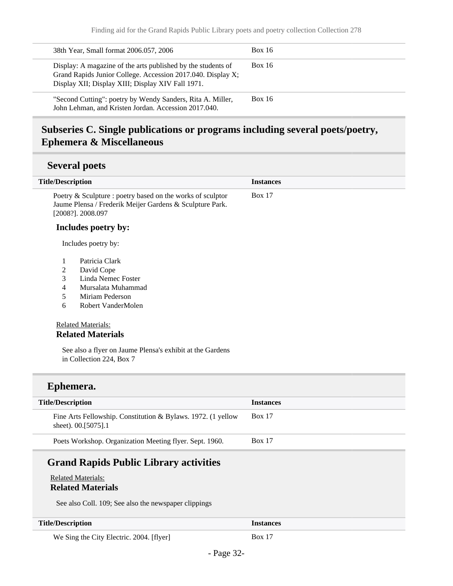| 38th Year, Small format 2006.057, 2006                                                                                                                                           | <b>Box 16</b> |
|----------------------------------------------------------------------------------------------------------------------------------------------------------------------------------|---------------|
| Display: A magazine of the arts published by the students of<br>Grand Rapids Junior College. Accession 2017.040. Display X;<br>Display XII; Display XIII; Display XIV Fall 1971. | <b>Box 16</b> |
| "Second Cutting": poetry by Wendy Sanders, Rita A. Miller,<br>John Lehman, and Kristen Jordan. Accession 2017.040.                                                               | <b>Box 16</b> |

#### <span id="page-31-0"></span>**Subseries C. Single publications or programs including several poets/poetry, Ephemera & Miscellaneous**

#### **Several poets**

| <b>Title/Description</b> |                                                                                                                                             | <b>Instances</b> |
|--------------------------|---------------------------------------------------------------------------------------------------------------------------------------------|------------------|
|                          | Poetry & Sculpture : poetry based on the works of sculptor<br>Jaume Plensa / Frederik Meijer Gardens & Sculpture Park.<br>[2008?]. 2008.097 | <b>Box 17</b>    |
|                          | Includes poetry by:                                                                                                                         |                  |
|                          | Includes poetry by:                                                                                                                         |                  |
| 1                        | Patricia Clark                                                                                                                              |                  |
| $\overline{2}$           | David Cope                                                                                                                                  |                  |
| 3                        | Linda Nemec Foster                                                                                                                          |                  |
| $\overline{4}$           | Mursalata Muhammad                                                                                                                          |                  |
| 5                        | Miriam Pederson                                                                                                                             |                  |
| 6                        | Robert VanderMolen                                                                                                                          |                  |
|                          | <b>Related Materials:</b>                                                                                                                   |                  |
|                          | <b>Related Materials</b>                                                                                                                    |                  |
|                          | See also a flyer on Jaume Plensa's exhibit at the Gardens                                                                                   |                  |
|                          | in Collection 224, Box 7                                                                                                                    |                  |
|                          |                                                                                                                                             |                  |
|                          |                                                                                                                                             |                  |
| Ephemera.                |                                                                                                                                             |                  |

| <b>Title/Description</b>                                                               | <b>Instances</b> |
|----------------------------------------------------------------------------------------|------------------|
| Fine Arts Fellowship. Constitution & Bylaws. 1972. (1 yellow<br>sheet). $00.5075$ ]. 1 | <b>Box 17</b>    |
| Poets Workshop. Organization Meeting flyer. Sept. 1960.                                | <b>Box 17</b>    |

### **Grand Rapids Public Library activities**

Related Materials: **Related Materials**

See also Coll. 109; See also the newspaper clippings

#### **Title/Description Instances**

We Sing the City Electric. 2004. [flyer] Box 17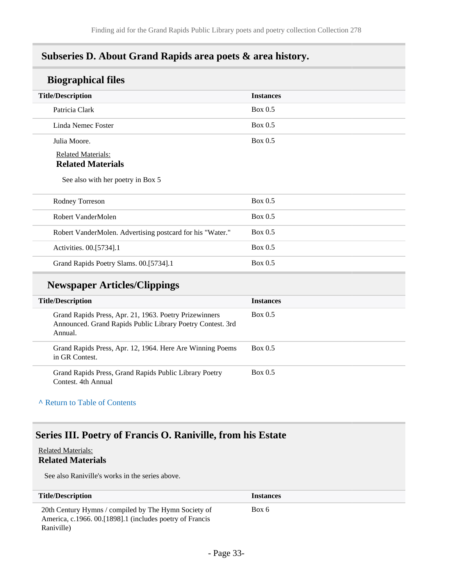### <span id="page-32-0"></span>**Subseries D. About Grand Rapids area poets & area history.**

| <b>Biographical files</b>                                                                                                       |                  |
|---------------------------------------------------------------------------------------------------------------------------------|------------------|
| <b>Title/Description</b>                                                                                                        | <b>Instances</b> |
| Patricia Clark                                                                                                                  | Box 0.5          |
| Linda Nemec Foster                                                                                                              | Box 0.5          |
| Julia Moore.                                                                                                                    | Box 0.5          |
| <b>Related Materials:</b>                                                                                                       |                  |
| <b>Related Materials</b>                                                                                                        |                  |
| See also with her poetry in Box 5                                                                                               |                  |
| Rodney Torreson                                                                                                                 | Box 0.5          |
| Robert VanderMolen                                                                                                              | Box 0.5          |
| Robert VanderMolen. Advertising postcard for his "Water."                                                                       | Box 0.5          |
| Activities. 00.[5734].1                                                                                                         | Box 0.5          |
| Grand Rapids Poetry Slams. 00.[5734].1                                                                                          | Box 0.5          |
| <b>Newspaper Articles/Clippings</b>                                                                                             |                  |
| <b>Title/Description</b>                                                                                                        | <b>Instances</b> |
| Grand Rapids Press, Apr. 21, 1963. Poetry Prizewinners<br>Announced. Grand Rapids Public Library Poetry Contest. 3rd<br>Annual. | Box 0.5          |
| Grand Rapids Press, Apr. 12, 1964. Here Are Winning Poems<br>in GR Contest.                                                     | Box 0.5          |
| Grand Rapids Press, Grand Rapids Public Library Poetry<br>Contest. 4th Annual                                                   | <b>Box 0.5</b>   |

#### **^** [Return to Table of Contents](#page-1-0)

#### <span id="page-32-1"></span>**Series III. Poetry of Francis O. Raniville, from his Estate**

#### Related Materials: **Related Materials**

See also Raniville's works in the series above.

| <b>Title/Description</b>                                                                                                       | <b>Instances</b> |
|--------------------------------------------------------------------------------------------------------------------------------|------------------|
| 20th Century Hymns / compiled by The Hymn Society of<br>America, c.1966. 00.[1898].1 (includes poetry of Francis<br>Raniville) | Box 6            |